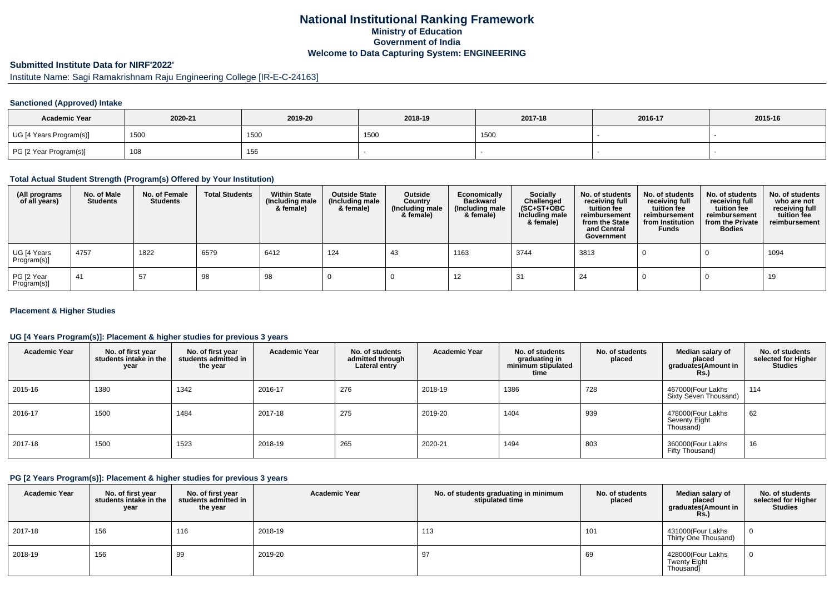## **National Institutional Ranking FrameworkMinistry of Education Government of IndiaWelcome to Data Capturing System: ENGINEERING**

# **Submitted Institute Data for NIRF'2022'**

Institute Name: Sagi Ramakrishnam Raju Engineering College [IR-E-C-24163]

#### **Sanctioned (Approved) Intake**

| <b>Academic Year</b>    | 2020-21 | 2019-20 | 2018-19 | 2017-18 | 2016-17 | 2015-16 |
|-------------------------|---------|---------|---------|---------|---------|---------|
| UG [4 Years Program(s)] | 1500    | 1500    | 1500    | 1500    |         |         |
| PG [2 Year Program(s)]  | 108     | 156     |         |         |         |         |

#### **Total Actual Student Strength (Program(s) Offered by Your Institution)**

| (All programs<br>of all years) | No. of Male<br><b>Students</b> | No. of Female<br><b>Students</b> | <b>Total Students</b> | <b>Within State</b><br>(Including male<br>& female) | <b>Outside State</b><br>(Including male<br>& female) | Outside<br>Country<br>(Including male<br>& female) | Economically<br><b>Backward</b><br>(Including male<br>& female) | Socially<br>Challenged<br>$(SC+ST+OBC)$<br>Including male<br>& female) | No. of students<br>receiving full<br>tuition fee<br>reimbursement<br>from the State<br>and Central<br>Government | No. of students<br>receiving full<br>tuition fee<br>reimbursement<br>from Institution<br><b>Funds</b> | No. of students<br>receiving full<br>tuition fee<br>reimbursement<br>from the Private<br><b>Bodies</b> | No. of students<br>who are not<br>receiving full<br>tuition fee<br>reimbursement |
|--------------------------------|--------------------------------|----------------------------------|-----------------------|-----------------------------------------------------|------------------------------------------------------|----------------------------------------------------|-----------------------------------------------------------------|------------------------------------------------------------------------|------------------------------------------------------------------------------------------------------------------|-------------------------------------------------------------------------------------------------------|--------------------------------------------------------------------------------------------------------|----------------------------------------------------------------------------------|
| UG [4 Years<br>Program(s)]     | 4757                           | 1822                             | 6579                  | 6412                                                | 124                                                  | 43                                                 | 1163                                                            | 3744                                                                   | 3813                                                                                                             |                                                                                                       |                                                                                                        | 1094                                                                             |
| PG [2 Year<br>Program(s)]      | -41                            | 57                               | 98                    | 98                                                  |                                                      |                                                    | 12                                                              | 31                                                                     | 24                                                                                                               |                                                                                                       |                                                                                                        | 19                                                                               |

#### **Placement & Higher Studies**

#### **UG [4 Years Program(s)]: Placement & higher studies for previous 3 years**

| <b>Academic Year</b> | No. of first year<br>students intake in the<br>year | No. of first vear<br>students admitted in<br>the year | <b>Academic Year</b> | No. of students<br>admitted through<br>Lateral entry | <b>Academic Year</b> | No. of students<br>graduating in<br>minimum stipulated<br>time | No. of students<br>placed | Median salary of<br>placed<br>graduates(Amount in<br>Rs. | No. of students<br>selected for Higher<br><b>Studies</b> |
|----------------------|-----------------------------------------------------|-------------------------------------------------------|----------------------|------------------------------------------------------|----------------------|----------------------------------------------------------------|---------------------------|----------------------------------------------------------|----------------------------------------------------------|
| 2015-16              | 1380                                                | 1342                                                  | 2016-17              | 276                                                  | 2018-19              | 1386                                                           | 728                       | 467000(Four Lakhs<br>Sixty Seven Thousand)               | 114                                                      |
| 2016-17              | 1500                                                | 1484                                                  | 2017-18              | 275                                                  | 2019-20              | 1404                                                           | 939                       | 478000(Four Lakhs<br>Seventy Eight<br>Thousand)          | 62                                                       |
| 2017-18              | 1500                                                | 1523                                                  | 2018-19              | 265                                                  | 2020-21              | 1494                                                           | 803                       | 360000(Four Lakhs<br>Fifty Thousand)                     | 16                                                       |

#### **PG [2 Years Program(s)]: Placement & higher studies for previous 3 years**

| <b>Academic Year</b> | No. of first year<br>students intake in the<br>year | No. of first year<br>students admitted in<br>the year | <b>Academic Year</b> | No. of students graduating in minimum<br>stipulated time | No. of students<br>placed | Median salary of<br>placed<br>graduates(Amount in<br><b>Rs.)</b> | No. of students<br>selected for Higher<br><b>Studies</b> |
|----------------------|-----------------------------------------------------|-------------------------------------------------------|----------------------|----------------------------------------------------------|---------------------------|------------------------------------------------------------------|----------------------------------------------------------|
| 2017-18              | 156                                                 | 116                                                   | 2018-19              | 113                                                      | 101                       | 431000(Four Lakhs<br>Thirty One Thousand)                        |                                                          |
| 2018-19              | 156                                                 | 99                                                    | 2019-20              | 97                                                       | 69                        | 428000(Four Lakhs<br>Twenty Eight<br>Thousand)                   |                                                          |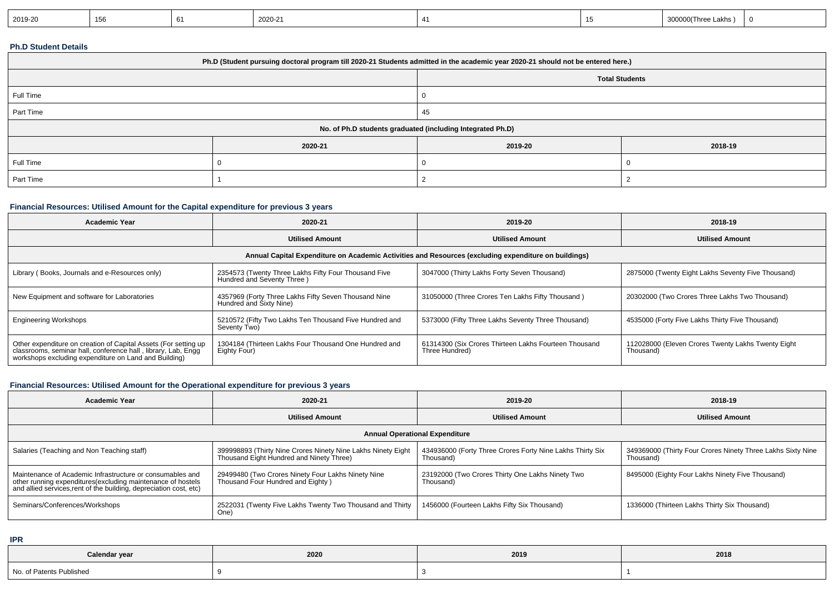|  | 2019-20 | 156 |  | 2020-21 |  |  | 00(Three<br>Lakhs<br>- - -<br>,,,,, |  |
|--|---------|-----|--|---------|--|--|-------------------------------------|--|
|--|---------|-----|--|---------|--|--|-------------------------------------|--|

#### **Ph.D Student Details**

| Ph.D (Student pursuing doctoral program till 2020-21 Students admitted in the academic year 2020-21 should not be entered here.) |                               |  |  |  |  |  |  |
|----------------------------------------------------------------------------------------------------------------------------------|-------------------------------|--|--|--|--|--|--|
| <b>Total Students</b>                                                                                                            |                               |  |  |  |  |  |  |
| Full Time                                                                                                                        |                               |  |  |  |  |  |  |
| Part Time                                                                                                                        | 45                            |  |  |  |  |  |  |
| No. of Ph.D students graduated (including Integrated Ph.D)                                                                       |                               |  |  |  |  |  |  |
|                                                                                                                                  | 2020-21<br>2019-20<br>2018-19 |  |  |  |  |  |  |
| Full Time                                                                                                                        |                               |  |  |  |  |  |  |
| Part Time                                                                                                                        |                               |  |  |  |  |  |  |

#### **Financial Resources: Utilised Amount for the Capital expenditure for previous 3 years**

| <b>Academic Year</b>                                                                                                                                                                      | 2020-21                                                                            | 2019-20                                                                 | 2018-19                                                         |  |  |  |  |  |
|-------------------------------------------------------------------------------------------------------------------------------------------------------------------------------------------|------------------------------------------------------------------------------------|-------------------------------------------------------------------------|-----------------------------------------------------------------|--|--|--|--|--|
|                                                                                                                                                                                           | <b>Utilised Amount</b>                                                             | <b>Utilised Amount</b>                                                  | <b>Utilised Amount</b>                                          |  |  |  |  |  |
| Annual Capital Expenditure on Academic Activities and Resources (excluding expenditure on buildings)                                                                                      |                                                                                    |                                                                         |                                                                 |  |  |  |  |  |
| Library (Books, Journals and e-Resources only)                                                                                                                                            | 2354573 (Twenty Three Lakhs Fifty Four Thousand Five<br>Hundred and Seventy Three) | 3047000 (Thirty Lakhs Forty Seven Thousand)                             | 2875000 (Twenty Eight Lakhs Seventy Five Thousand)              |  |  |  |  |  |
| New Equipment and software for Laboratories                                                                                                                                               | 4357969 (Forty Three Lakhs Fifty Seven Thousand Nine<br>Hundred and Sixty Nine)    | 31050000 (Three Crores Ten Lakhs Fifty Thousand)                        | 20302000 (Two Crores Three Lakhs Two Thousand)                  |  |  |  |  |  |
| <b>Engineering Workshops</b>                                                                                                                                                              | 5210572 (Fifty Two Lakhs Ten Thousand Five Hundred and<br>Seventy Two)             | 5373000 (Fifty Three Lakhs Seventy Three Thousand)                      | 4535000 (Forty Five Lakhs Thirty Five Thousand)                 |  |  |  |  |  |
| Other expenditure on creation of Capital Assets (For setting up<br>classrooms, seminar hall, conference hall, library, Lab, Engg<br>workshops excluding expenditure on Land and Building) | 1304184 (Thirteen Lakhs Four Thousand One Hundred and<br>Eighty Four)              | 61314300 (Six Crores Thirteen Lakhs Fourteen Thousand<br>Three Hundred) | 112028000 (Eleven Crores Twenty Lakhs Twenty Eight<br>Thousand) |  |  |  |  |  |

### **Financial Resources: Utilised Amount for the Operational expenditure for previous 3 years**

| Academic Year                                                                                                                                                                                   | 2020-21                                                                                                  | 2019-20                                                                | 2018-19                                                                  |  |  |  |
|-------------------------------------------------------------------------------------------------------------------------------------------------------------------------------------------------|----------------------------------------------------------------------------------------------------------|------------------------------------------------------------------------|--------------------------------------------------------------------------|--|--|--|
|                                                                                                                                                                                                 | <b>Utilised Amount</b>                                                                                   | <b>Utilised Amount</b>                                                 | <b>Utilised Amount</b>                                                   |  |  |  |
| <b>Annual Operational Expenditure</b>                                                                                                                                                           |                                                                                                          |                                                                        |                                                                          |  |  |  |
| Salaries (Teaching and Non Teaching staff)                                                                                                                                                      | 399998893 (Thirty Nine Crores Ninety Nine Lakhs Ninety Eight<br>Thousand Eight Hundred and Ninety Three) | 434936000 (Forty Three Crores Forty Nine Lakhs Thirty Six<br>Thousand) | 349369000 (Thirty Four Crores Ninety Three Lakhs Sixty Nine<br>Thousand) |  |  |  |
| Maintenance of Academic Infrastructure or consumables and<br>other running expenditures (excluding maintenance of hostels<br>and allied services, rent of the building, depreciation cost, etc) | 29499480 (Two Crores Ninety Four Lakhs Ninety Nine<br>Thousand Four Hundred and Eighty )                 | 23192000 (Two Crores Thirty One Lakhs Ninety Two<br>Thousand)          | 8495000 (Eighty Four Lakhs Ninety Five Thousand)                         |  |  |  |
| Seminars/Conferences/Workshops                                                                                                                                                                  | 2522031 (Twenty Five Lakhs Twenty Two Thousand and Thirty<br>One)                                        | 1456000 (Fourteen Lakhs Fifty Six Thousand)                            | 1336000 (Thirteen Lakhs Thirty Six Thousand)                             |  |  |  |

**IPR**

| Calendar year            | 2020 | 2019 | 2018 |
|--------------------------|------|------|------|
| No. of Patents Published |      |      |      |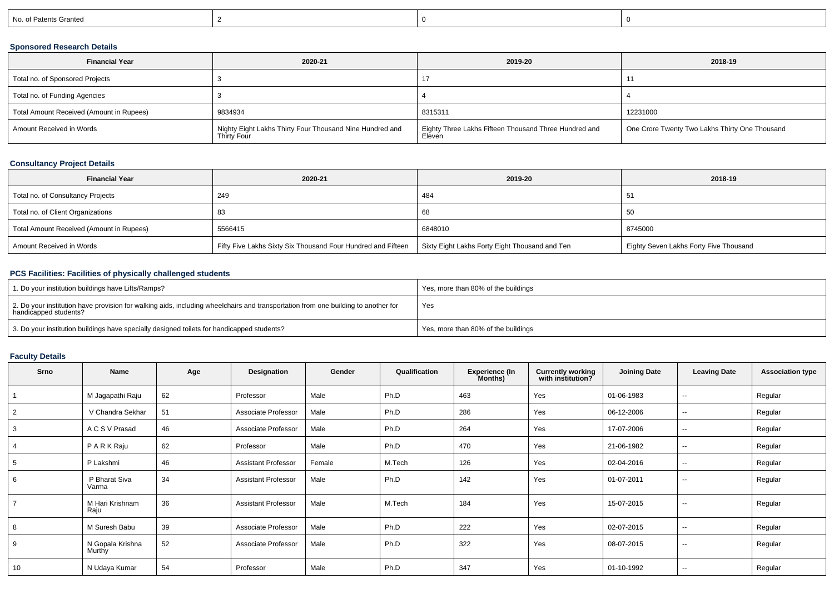| of Patents Granted<br>. .<br><b>INO</b> |  |  |
|-----------------------------------------|--|--|
|                                         |  |  |

### **Sponsored Research Details**

| <b>Financial Year</b>                    | 2020-21                                                                 | 2019-20                                                         | 2018-19                                        |
|------------------------------------------|-------------------------------------------------------------------------|-----------------------------------------------------------------|------------------------------------------------|
| Total no. of Sponsored Projects          |                                                                         | 17                                                              |                                                |
| Total no. of Funding Agencies            |                                                                         |                                                                 |                                                |
| Total Amount Received (Amount in Rupees) | 9834934                                                                 | 8315311                                                         | 12231000                                       |
| Amount Received in Words                 | Nighty Eight Lakhs Thirty Four Thousand Nine Hundred and<br>Thirty Four | Eighty Three Lakhs Fifteen Thousand Three Hundred and<br>Eleven | One Crore Twenty Two Lakhs Thirty One Thousand |

### **Consultancy Project Details**

| <b>Financial Year</b>                    | 2020-21                                                      | 2019-20                                        | 2018-19                                |
|------------------------------------------|--------------------------------------------------------------|------------------------------------------------|----------------------------------------|
| Total no. of Consultancy Projects        | 249                                                          | 484                                            | -51                                    |
| Total no. of Client Organizations        | 83                                                           | 68                                             | ' 5C                                   |
| Total Amount Received (Amount in Rupees) | 5566415                                                      | 6848010                                        | 8745000                                |
| Amount Received in Words                 | Fifty Five Lakhs Sixty Six Thousand Four Hundred and Fifteen | Sixty Eight Lakhs Forty Eight Thousand and Ten | Eighty Seven Lakhs Forty Five Thousand |

### **PCS Facilities: Facilities of physically challenged students**

| 1. Do your institution buildings have Lifts/Ramps?                                                                                                         | Yes, more than 80% of the buildings |
|------------------------------------------------------------------------------------------------------------------------------------------------------------|-------------------------------------|
| 2. Do your institution have provision for walking aids, including wheelchairs and transportation from one building to another for<br>handicapped students? | Yes                                 |
| 3. Do your institution buildings have specially designed toilets for handicapped students?                                                                 | Yes, more than 80% of the buildings |

### **Faculty Details**

| Srno | <b>Name</b>                | Age | Designation                | Gender | Qualification | <b>Experience (In</b><br>Months) | <b>Currently working</b><br>with institution? | <b>Joining Date</b> | <b>Leaving Date</b> | <b>Association type</b> |
|------|----------------------------|-----|----------------------------|--------|---------------|----------------------------------|-----------------------------------------------|---------------------|---------------------|-------------------------|
|      | M Jagapathi Raju           | 62  | Professor                  | Male   | Ph.D          | 463                              | Yes                                           | 01-06-1983          | --                  | Regular                 |
| 2    | V Chandra Sekhar           | 51  | Associate Professor        | Male   | Ph.D          | 286                              | Yes                                           | 06-12-2006          | $\sim$              | Regular                 |
| 3    | A C S V Prasad             | 46  | Associate Professor        | Male   | Ph.D          | 264                              | Yes                                           | 17-07-2006          | $\sim$              | Regular                 |
|      | PARKRaju                   | 62  | Professor                  | Male   | Ph.D          | 470                              | Yes                                           | 21-06-1982          | $\sim$              | Regular                 |
| 5    | P Lakshmi                  | 46  | <b>Assistant Professor</b> | Female | M.Tech        | 126                              | Yes                                           | 02-04-2016          | $\sim$              | Regular                 |
| 6    | P Bharat Siva<br>Varma     | 34  | <b>Assistant Professor</b> | Male   | Ph.D          | 142                              | Yes                                           | 01-07-2011          | $\sim$              | Regular                 |
|      | M Hari Krishnam<br>Raju    | 36  | <b>Assistant Professor</b> | Male   | M.Tech        | 184                              | Yes                                           | 15-07-2015          | $\sim$              | Regular                 |
| 8    | M Suresh Babu              | 39  | Associate Professor        | Male   | Ph.D          | 222                              | Yes                                           | 02-07-2015          | --                  | Regular                 |
| 9    | N Gopala Krishna<br>Murthy | 52  | Associate Professor        | Male   | Ph.D          | 322                              | Yes                                           | 08-07-2015          | $\sim$              | Regular                 |
| 10   | N Udaya Kumar              | 54  | Professor                  | Male   | Ph.D          | 347                              | Yes                                           | 01-10-1992          | $\sim$              | Regular                 |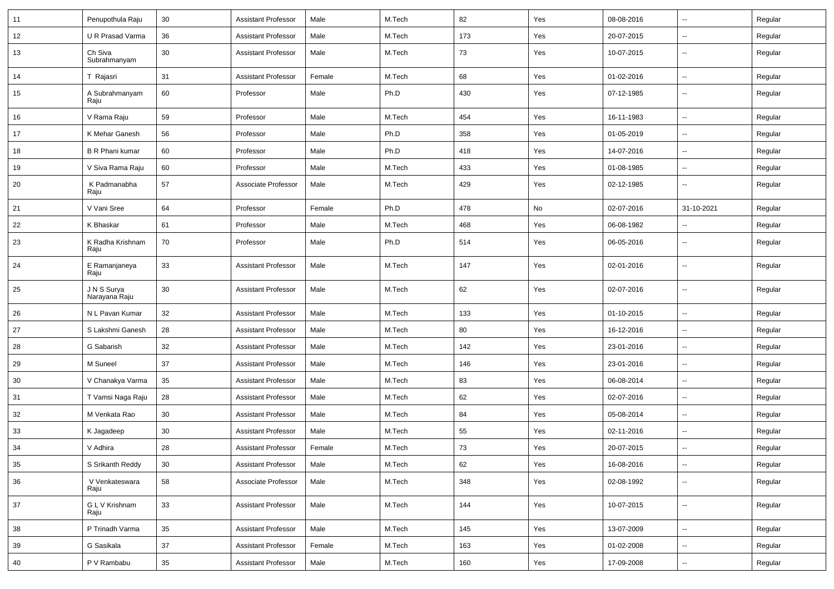| 11 | Penupothula Raju             | 30 | <b>Assistant Professor</b> | Male   | M.Tech | 82  | Yes | 08-08-2016 | $\overline{\phantom{a}}$ | Regular |
|----|------------------------------|----|----------------------------|--------|--------|-----|-----|------------|--------------------------|---------|
| 12 | U R Prasad Varma             | 36 | <b>Assistant Professor</b> | Male   | M.Tech | 173 | Yes | 20-07-2015 | $\overline{\phantom{a}}$ | Regular |
| 13 | Ch Siva<br>Subrahmanyam      | 30 | <b>Assistant Professor</b> | Male   | M.Tech | 73  | Yes | 10-07-2015 | $\overline{\phantom{a}}$ | Regular |
| 14 | T Rajasri                    | 31 | <b>Assistant Professor</b> | Female | M.Tech | 68  | Yes | 01-02-2016 | $\overline{\phantom{a}}$ | Regular |
| 15 | A Subrahmanyam<br>Raju       | 60 | Professor                  | Male   | Ph.D   | 430 | Yes | 07-12-1985 | $\overline{\phantom{a}}$ | Regular |
| 16 | V Rama Raju                  | 59 | Professor                  | Male   | M.Tech | 454 | Yes | 16-11-1983 | $\overline{\phantom{a}}$ | Regular |
| 17 | K Mehar Ganesh               | 56 | Professor                  | Male   | Ph.D   | 358 | Yes | 01-05-2019 | $\overline{\phantom{a}}$ | Regular |
| 18 | <b>B R Phani kumar</b>       | 60 | Professor                  | Male   | Ph.D   | 418 | Yes | 14-07-2016 | Ξ.                       | Regular |
| 19 | V Siva Rama Raju             | 60 | Professor                  | Male   | M.Tech | 433 | Yes | 01-08-1985 | $\overline{\phantom{a}}$ | Regular |
| 20 | K Padmanabha<br>Raju         | 57 | Associate Professor        | Male   | M.Tech | 429 | Yes | 02-12-1985 | $\overline{\phantom{a}}$ | Regular |
| 21 | V Vani Sree                  | 64 | Professor                  | Female | Ph.D   | 478 | No  | 02-07-2016 | 31-10-2021               | Regular |
| 22 | K Bhaskar                    | 61 | Professor                  | Male   | M.Tech | 468 | Yes | 06-08-1982 | $\overline{\phantom{a}}$ | Regular |
| 23 | K Radha Krishnam<br>Raju     | 70 | Professor                  | Male   | Ph.D   | 514 | Yes | 06-05-2016 | $\overline{\phantom{a}}$ | Regular |
| 24 | E Ramanjaneya<br>Raju        | 33 | <b>Assistant Professor</b> | Male   | M.Tech | 147 | Yes | 02-01-2016 | --                       | Regular |
| 25 | J N S Surya<br>Narayana Raju | 30 | <b>Assistant Professor</b> | Male   | M.Tech | 62  | Yes | 02-07-2016 | --                       | Regular |
| 26 | N L Pavan Kumar              | 32 | <b>Assistant Professor</b> | Male   | M.Tech | 133 | Yes | 01-10-2015 | --                       | Regular |
| 27 | S Lakshmi Ganesh             | 28 | <b>Assistant Professor</b> | Male   | M.Tech | 80  | Yes | 16-12-2016 | $\overline{\phantom{a}}$ | Regular |
| 28 | G Sabarish                   | 32 | <b>Assistant Professor</b> | Male   | M.Tech | 142 | Yes | 23-01-2016 | Ξ.                       | Regular |
| 29 | M Suneel                     | 37 | <b>Assistant Professor</b> | Male   | M.Tech | 146 | Yes | 23-01-2016 | $\overline{\phantom{a}}$ | Regular |
| 30 | V Chanakya Varma             | 35 | <b>Assistant Professor</b> | Male   | M.Tech | 83  | Yes | 06-08-2014 | $\overline{\phantom{a}}$ | Regular |
| 31 | T Vamsi Naga Raju            | 28 | <b>Assistant Professor</b> | Male   | M.Tech | 62  | Yes | 02-07-2016 | Ξ.                       | Regular |
| 32 | M Venkata Rao                | 30 | <b>Assistant Professor</b> | Male   | M.Tech | 84  | Yes | 05-08-2014 | $\overline{\phantom{a}}$ | Regular |
| 33 | K Jagadeep                   | 30 | <b>Assistant Professor</b> | Male   | M.Tech | 55  | Yes | 02-11-2016 | $\overline{\phantom{a}}$ | Regular |
| 34 | V Adhira                     | 28 | <b>Assistant Professor</b> | Female | M.Tech | 73  | Yes | 20-07-2015 | $\overline{\phantom{a}}$ | Regular |
| 35 | S Srikanth Reddy             | 30 | <b>Assistant Professor</b> | Male   | M.Tech | 62  | Yes | 16-08-2016 | $\sim$                   | Regular |
| 36 | V Venkateswara<br>Raju       | 58 | Associate Professor        | Male   | M.Tech | 348 | Yes | 02-08-1992 | Щ,                       | Regular |
| 37 | G L V Krishnam<br>Raju       | 33 | <b>Assistant Professor</b> | Male   | M.Tech | 144 | Yes | 10-07-2015 | Ц.                       | Regular |
| 38 | P Trinadh Varma              | 35 | <b>Assistant Professor</b> | Male   | M.Tech | 145 | Yes | 13-07-2009 | Ц.                       | Regular |
| 39 | G Sasikala                   | 37 | <b>Assistant Professor</b> | Female | M.Tech | 163 | Yes | 01-02-2008 | Ц.                       | Regular |
| 40 | P V Rambabu                  | 35 | <b>Assistant Professor</b> | Male   | M.Tech | 160 | Yes | 17-09-2008 | ۰.                       | Regular |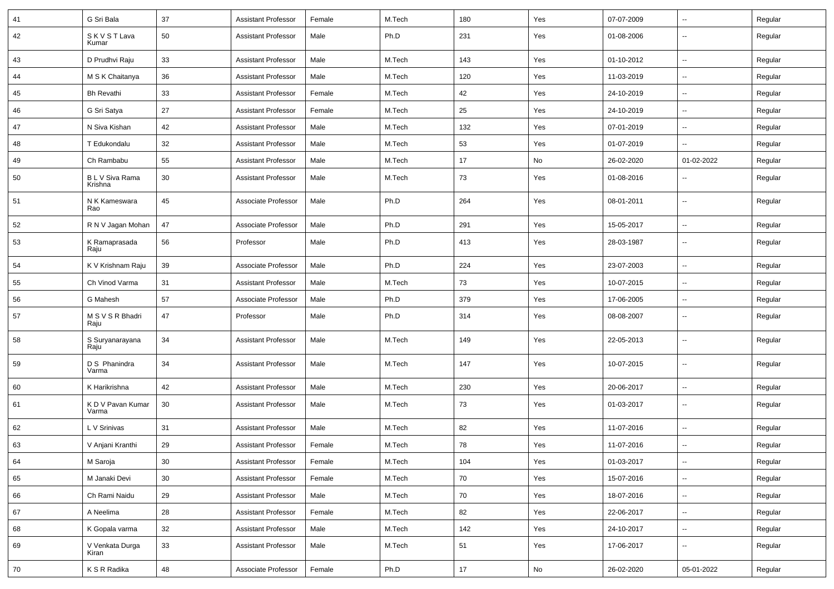| 41 | G Sri Bala                 | 37     | <b>Assistant Professor</b> | Female | M.Tech | 180  | Yes                          | 07-07-2009 | $\sim$                   | Regular |
|----|----------------------------|--------|----------------------------|--------|--------|------|------------------------------|------------|--------------------------|---------|
| 42 | <b>SKVSTLava</b><br>Kumar  | 50     | <b>Assistant Professor</b> | Male   | Ph.D   | 231  | Yes                          | 01-08-2006 | $\overline{\phantom{a}}$ | Regular |
| 43 | D Prudhvi Raju             | 33     | <b>Assistant Professor</b> | Male   | M.Tech | 143  | Yes                          | 01-10-2012 | ⊶.                       | Regular |
| 44 | M S K Chaitanya            | 36     | <b>Assistant Professor</b> | Male   | M.Tech | 120  | Yes                          | 11-03-2019 | $\sim$                   | Regular |
| 45 | <b>Bh Revathi</b>          | 33     | <b>Assistant Professor</b> | Female | M.Tech | 42   | Yes                          | 24-10-2019 | $\sim$                   | Regular |
| 46 | G Sri Satya                | 27     | <b>Assistant Professor</b> | Female | M.Tech | 25   | Yes                          | 24-10-2019 | $\overline{\phantom{a}}$ | Regular |
| 47 | N Siva Kishan              | 42     | <b>Assistant Professor</b> | Male   | M.Tech | 132  | Yes                          | 07-01-2019 | $\sim$                   | Regular |
| 48 | T Edukondalu               | 32     | <b>Assistant Professor</b> | Male   | M.Tech | 53   | Yes                          | 01-07-2019 | $\sim$                   | Regular |
| 49 | Ch Rambabu                 | 55     | <b>Assistant Professor</b> | Male   | M.Tech | 17   | No                           | 26-02-2020 | 01-02-2022               | Regular |
| 50 | B L V Siva Rama<br>Krishna | 30     | <b>Assistant Professor</b> | Male   | M.Tech | 73   | Yes                          | 01-08-2016 | $\sim$                   | Regular |
| 51 | N K Kameswara<br>Rao       | 45     | Associate Professor        | Male   | Ph.D   | 264  | Yes                          | 08-01-2011 | $\overline{\phantom{a}}$ | Regular |
| 52 | R N V Jagan Mohan          | 47     | Associate Professor        | Male   | Ph.D   | 291  | Yes                          | 15-05-2017 | $\sim$                   | Regular |
| 53 | K Ramaprasada<br>Raju      | 56     | Professor                  | Male   | Ph.D   | 413  | Yes                          | 28-03-1987 | $\overline{\phantom{a}}$ | Regular |
| 54 | K V Krishnam Raju          | 39     | Associate Professor        | Male   | Ph.D   | 224  | Yes                          | 23-07-2003 | $\overline{\phantom{a}}$ | Regular |
| 55 | Ch Vinod Varma             | 31     | <b>Assistant Professor</b> | Male   | M.Tech | 73   | Yes                          | 10-07-2015 | $\overline{\phantom{a}}$ | Regular |
| 56 | G Mahesh                   | 57     | Associate Professor        | Male   | Ph.D   | 379  | Yes                          | 17-06-2005 | $\sim$                   | Regular |
| 57 | M S V S R Bhadri<br>Raju   | 47     | Professor                  | Male   | Ph.D   | 314  | Yes                          | 08-08-2007 | $\sim$                   | Regular |
| 58 | S Suryanarayana<br>Raju    | 34     | <b>Assistant Professor</b> | Male   | M.Tech | 149  | Yes                          | 22-05-2013 | $\sim$                   | Regular |
| 59 | D S Phanindra<br>Varma     | 34     | <b>Assistant Professor</b> | Male   | M.Tech | 147  | Yes                          | 10-07-2015 | $\sim$                   | Regular |
| 60 | K Harikrishna              | 42     | <b>Assistant Professor</b> | Male   | M.Tech | 230  | Yes                          | 20-06-2017 | $\sim$                   | Regular |
| 61 | K D V Pavan Kumar<br>Varma | 30     | <b>Assistant Professor</b> | Male   | M.Tech | 73   | Yes                          | 01-03-2017 | $\sim$                   | Regular |
| 62 | L V Srinivas               | 31     | <b>Assistant Professor</b> | Male   | M.Tech | 82   | Yes                          | 11-07-2016 | Ξ.                       | Regular |
| 63 | V Anjani Kranthi           | 29     | <b>Assistant Professor</b> | Female | M.Tech | 78   | Yes                          | 11-07-2016 |                          | Regular |
| 64 | M Saroja                   | $30\,$ | <b>Assistant Professor</b> | Female | M.Tech | 104  | Yes                          | 01-03-2017 | $\overline{\phantom{a}}$ | Regular |
| 65 | M Janaki Devi              | 30     | <b>Assistant Professor</b> | Female | M.Tech | 70   | Yes                          | 15-07-2016 | $\sim$                   | Regular |
| 66 | Ch Rami Naidu              | 29     | <b>Assistant Professor</b> | Male   | M.Tech | 70   | Yes                          | 18-07-2016 | $\sim$                   | Regular |
| 67 | A Neelima                  | 28     | <b>Assistant Professor</b> | Female | M.Tech | 82   | Yes                          | 22-06-2017 | $\sim$                   | Regular |
| 68 | K Gopala varma             | 32     | <b>Assistant Professor</b> | Male   | M.Tech | 142  | Yes                          | 24-10-2017 | $\sim$                   | Regular |
| 69 | V Venkata Durga<br>Kiran   | 33     | <b>Assistant Professor</b> | Male   | M.Tech | 51   | Yes                          | 17-06-2017 | $\sim$                   | Regular |
| 70 | K S R Radika               | 48     | Associate Professor        | Female | Ph.D   | $17$ | $\operatorname{\mathsf{No}}$ | 26-02-2020 | 05-01-2022               | Regular |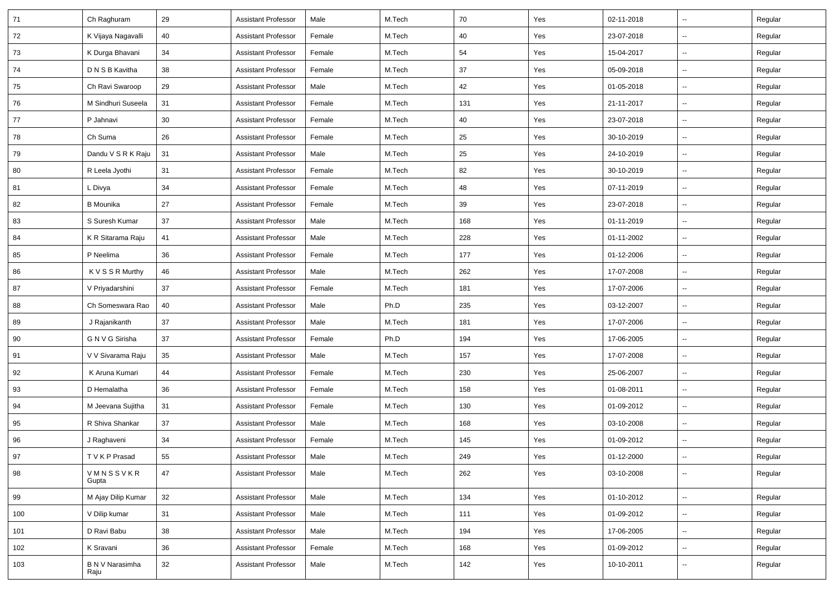| 71  | Ch Raghuram             | 29 | <b>Assistant Professor</b> | Male   | M.Tech | 70  | Yes | 02-11-2018 | --                       | Regular |
|-----|-------------------------|----|----------------------------|--------|--------|-----|-----|------------|--------------------------|---------|
| 72  | K Vijaya Nagavalli      | 40 | <b>Assistant Professor</b> | Female | M.Tech | 40  | Yes | 23-07-2018 | $\sim$                   | Regular |
| 73  | K Durga Bhavani         | 34 | <b>Assistant Professor</b> | Female | M.Tech | 54  | Yes | 15-04-2017 | $\overline{\phantom{a}}$ | Regular |
| 74  | D N S B Kavitha         | 38 | <b>Assistant Professor</b> | Female | M.Tech | 37  | Yes | 05-09-2018 | Ξ.                       | Regular |
| 75  | Ch Ravi Swaroop         | 29 | <b>Assistant Professor</b> | Male   | M.Tech | 42  | Yes | 01-05-2018 | $\overline{a}$           | Regular |
| 76  | M Sindhuri Suseela      | 31 | <b>Assistant Professor</b> | Female | M.Tech | 131 | Yes | 21-11-2017 | -−                       | Regular |
| 77  | P Jahnavi               | 30 | <b>Assistant Professor</b> | Female | M.Tech | 40  | Yes | 23-07-2018 | Ξ.                       | Regular |
| 78  | Ch Suma                 | 26 | <b>Assistant Professor</b> | Female | M.Tech | 25  | Yes | 30-10-2019 | $\sim$                   | Regular |
| 79  | Dandu V S R K Raju      | 31 | <b>Assistant Professor</b> | Male   | M.Tech | 25  | Yes | 24-10-2019 | -−                       | Regular |
| 80  | R Leela Jyothi          | 31 | <b>Assistant Professor</b> | Female | M.Tech | 82  | Yes | 30-10-2019 | -−                       | Regular |
| 81  | L Divya                 | 34 | <b>Assistant Professor</b> | Female | M.Tech | 48  | Yes | 07-11-2019 | --                       | Regular |
| 82  | <b>B</b> Mounika        | 27 | <b>Assistant Professor</b> | Female | M.Tech | 39  | Yes | 23-07-2018 | $\overline{\phantom{a}}$ | Regular |
| 83  | S Suresh Kumar          | 37 | <b>Assistant Professor</b> | Male   | M.Tech | 168 | Yes | 01-11-2019 | Щ,                       | Regular |
| 84  | K R Sitarama Raju       | 41 | <b>Assistant Professor</b> | Male   | M.Tech | 228 | Yes | 01-11-2002 | н.                       | Regular |
| 85  | P Neelima               | 36 | <b>Assistant Professor</b> | Female | M.Tech | 177 | Yes | 01-12-2006 | -−                       | Regular |
| 86  | K V S S R Murthy        | 46 | <b>Assistant Professor</b> | Male   | M.Tech | 262 | Yes | 17-07-2008 | Ξ.                       | Regular |
| 87  | V Priyadarshini         | 37 | <b>Assistant Professor</b> | Female | M.Tech | 181 | Yes | 17-07-2006 | --                       | Regular |
| 88  | Ch Someswara Rao        | 40 | <b>Assistant Professor</b> | Male   | Ph.D   | 235 | Yes | 03-12-2007 | -−                       | Regular |
| 89  | J Rajanikanth           | 37 | <b>Assistant Professor</b> | Male   | M.Tech | 181 | Yes | 17-07-2006 | Ξ.                       | Regular |
| 90  | G N V G Sirisha         | 37 | <b>Assistant Professor</b> | Female | Ph.D   | 194 | Yes | 17-06-2005 | Ξ.                       | Regular |
| 91  | V V Sivarama Raju       | 35 | <b>Assistant Professor</b> | Male   | M.Tech | 157 | Yes | 17-07-2008 | $\sim$                   | Regular |
| 92  | K Aruna Kumari          | 44 | <b>Assistant Professor</b> | Female | M.Tech | 230 | Yes | 25-06-2007 | -−                       | Regular |
| 93  | D Hemalatha             | 36 | <b>Assistant Professor</b> | Female | M.Tech | 158 | Yes | 01-08-2011 | $\overline{\phantom{a}}$ | Regular |
| 94  | M Jeevana Sujitha       | 31 | <b>Assistant Professor</b> | Female | M.Tech | 130 | Yes | 01-09-2012 | -−                       | Regular |
| 95  | R Shiva Shankar         | 37 | <b>Assistant Professor</b> | Male   | M.Tech | 168 | Yes | 03-10-2008 | Ξ.                       | Regular |
| 96  | J Raghaveni             | 34 | <b>Assistant Professor</b> | Female | M.Tech | 145 | Yes | 01-09-2012 | Ξ.                       | Regular |
| 97  | T V K P Prasad          | 55 | <b>Assistant Professor</b> | Male   | M.Tech | 249 | Yes | 01-12-2000 | $\sim$                   | Regular |
| 98  | VMNSSVKR<br>Gupta       | 47 | <b>Assistant Professor</b> | Male   | M.Tech | 262 | Yes | 03-10-2008 | ш.                       | Regular |
| 99  | M Ajay Dilip Kumar      | 32 | <b>Assistant Professor</b> | Male   | M.Tech | 134 | Yes | 01-10-2012 | ш.                       | Regular |
| 100 | V Dilip kumar           | 31 | <b>Assistant Professor</b> | Male   | M.Tech | 111 | Yes | 01-09-2012 | ⊷.                       | Regular |
| 101 | D Ravi Babu             | 38 | <b>Assistant Professor</b> | Male   | M.Tech | 194 | Yes | 17-06-2005 | ш.                       | Regular |
| 102 | K Sravani               | 36 | <b>Assistant Professor</b> | Female | M.Tech | 168 | Yes | 01-09-2012 | $\overline{\phantom{a}}$ | Regular |
| 103 | B N V Narasimha<br>Raju | 32 | <b>Assistant Professor</b> | Male   | M.Tech | 142 | Yes | 10-10-2011 | $\sim$                   | Regular |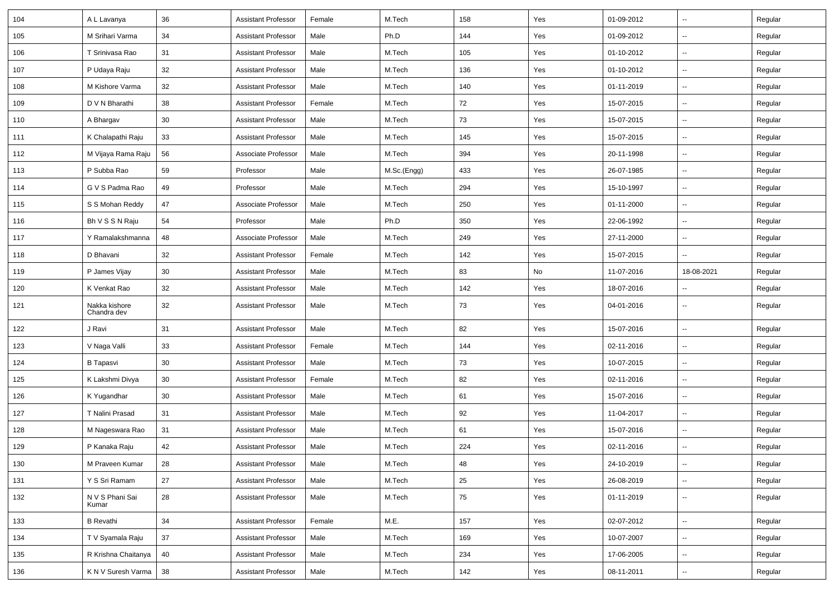| 104 | A L Lavanya                  | 36 | <b>Assistant Professor</b> | Female | M.Tech      | 158 | Yes | 01-09-2012 | $\overline{a}$           | Regular |
|-----|------------------------------|----|----------------------------|--------|-------------|-----|-----|------------|--------------------------|---------|
| 105 | M Srihari Varma              | 34 | <b>Assistant Professor</b> | Male   | Ph.D        | 144 | Yes | 01-09-2012 | $\sim$                   | Regular |
| 106 | T Srinivasa Rao              | 31 | <b>Assistant Professor</b> | Male   | M.Tech      | 105 | Yes | 01-10-2012 |                          | Regular |
| 107 | P Udaya Raju                 | 32 | <b>Assistant Professor</b> | Male   | M.Tech      | 136 | Yes | 01-10-2012 |                          | Regular |
| 108 | M Kishore Varma              | 32 | <b>Assistant Professor</b> | Male   | M.Tech      | 140 | Yes | 01-11-2019 | $\overline{\phantom{a}}$ | Regular |
| 109 | D V N Bharathi               | 38 | Assistant Professor        | Female | M.Tech      | 72  | Yes | 15-07-2015 | $\overline{\phantom{a}}$ | Regular |
| 110 | A Bhargav                    | 30 | <b>Assistant Professor</b> | Male   | M.Tech      | 73  | Yes | 15-07-2015 | $\sim$                   | Regular |
| 111 | K Chalapathi Raju            | 33 | <b>Assistant Professor</b> | Male   | M.Tech      | 145 | Yes | 15-07-2015 | $\sim$                   | Regular |
| 112 | M Vijaya Rama Raju           | 56 | Associate Professor        | Male   | M.Tech      | 394 | Yes | 20-11-1998 | --                       | Regular |
| 113 | P Subba Rao                  | 59 | Professor                  | Male   | M.Sc.(Engg) | 433 | Yes | 26-07-1985 |                          | Regular |
| 114 | G V S Padma Rao              | 49 | Professor                  | Male   | M.Tech      | 294 | Yes | 15-10-1997 | $\overline{\phantom{a}}$ | Regular |
| 115 | S S Mohan Reddy              | 47 | Associate Professor        | Male   | M.Tech      | 250 | Yes | 01-11-2000 | $\overline{\phantom{a}}$ | Regular |
| 116 | Bh V S S N Raju              | 54 | Professor                  | Male   | Ph.D        | 350 | Yes | 22-06-1992 | $\overline{\phantom{a}}$ | Regular |
| 117 | Y Ramalakshmanna             | 48 | Associate Professor        | Male   | M.Tech      | 249 | Yes | 27-11-2000 | $\sim$                   | Regular |
| 118 | D Bhavani                    | 32 | <b>Assistant Professor</b> | Female | M.Tech      | 142 | Yes | 15-07-2015 |                          | Regular |
| 119 | P James Vijay                | 30 | <b>Assistant Professor</b> | Male   | M.Tech      | 83  | No  | 11-07-2016 | 18-08-2021               | Regular |
| 120 | K Venkat Rao                 | 32 | <b>Assistant Professor</b> | Male   | M.Tech      | 142 | Yes | 18-07-2016 |                          | Regular |
| 121 | Nakka kishore<br>Chandra dev | 32 | <b>Assistant Professor</b> | Male   | M.Tech      | 73  | Yes | 04-01-2016 |                          | Regular |
| 122 | J Ravi                       | 31 | <b>Assistant Professor</b> | Male   | M.Tech      | 82  | Yes | 15-07-2016 | $\mathbf{u}$             | Regular |
| 123 | V Naga Valli                 | 33 | <b>Assistant Professor</b> | Female | M.Tech      | 144 | Yes | 02-11-2016 | $\overline{a}$           | Regular |
| 124 | <b>B</b> Tapasvi             | 30 | Assistant Professor        | Male   | M.Tech      | 73  | Yes | 10-07-2015 | $\mathbf{u}$             | Regular |
| 125 | K Lakshmi Divya              | 30 | <b>Assistant Professor</b> | Female | M.Tech      | 82  | Yes | 02-11-2016 | $\sim$                   | Regular |
| 126 | K Yugandhar                  | 30 | <b>Assistant Professor</b> | Male   | M.Tech      | 61  | Yes | 15-07-2016 |                          | Regular |
| 127 | T Nalini Prasad              | 31 | <b>Assistant Professor</b> | Male   | M.Tech      | 92  | Yes | 11-04-2017 | $\overline{\phantom{a}}$ | Regular |
| 128 | M Nageswara Rao              | 31 | Assistant Professor        | Male   | M.Tech      | 61  | Yes | 15-07-2016 | $\overline{\phantom{a}}$ | Regular |
| 129 | P Kanaka Raju                | 42 | Assistant Professor        | Male   | M.Tech      | 224 | Yes | 02-11-2016 | $\overline{a}$           | Regular |
| 130 | M Praveen Kumar              | 28 | <b>Assistant Professor</b> | Male   | M.Tech      | 48  | Yes | 24-10-2019 | $\sim$                   | Regular |
| 131 | Y S Sri Ramam                | 27 | <b>Assistant Professor</b> | Male   | M.Tech      | 25  | Yes | 26-08-2019 | $\sim$                   | Regular |
| 132 | N V S Phani Sai<br>Kumar     | 28 | <b>Assistant Professor</b> | Male   | M.Tech      | 75  | Yes | 01-11-2019 | $\mathbf{u}$             | Regular |
| 133 | <b>B</b> Revathi             | 34 | <b>Assistant Professor</b> | Female | M.E.        | 157 | Yes | 02-07-2012 | $\sim$                   | Regular |
| 134 | T V Syamala Raju             | 37 | <b>Assistant Professor</b> | Male   | M.Tech      | 169 | Yes | 10-07-2007 | $\sim$                   | Regular |
| 135 | R Krishna Chaitanya          | 40 | <b>Assistant Professor</b> | Male   | M.Tech      | 234 | Yes | 17-06-2005 | $\sim$                   | Regular |
| 136 | K N V Suresh Varma           | 38 | Assistant Professor        | Male   | M.Tech      | 142 | Yes | 08-11-2011 | $\sim$                   | Regular |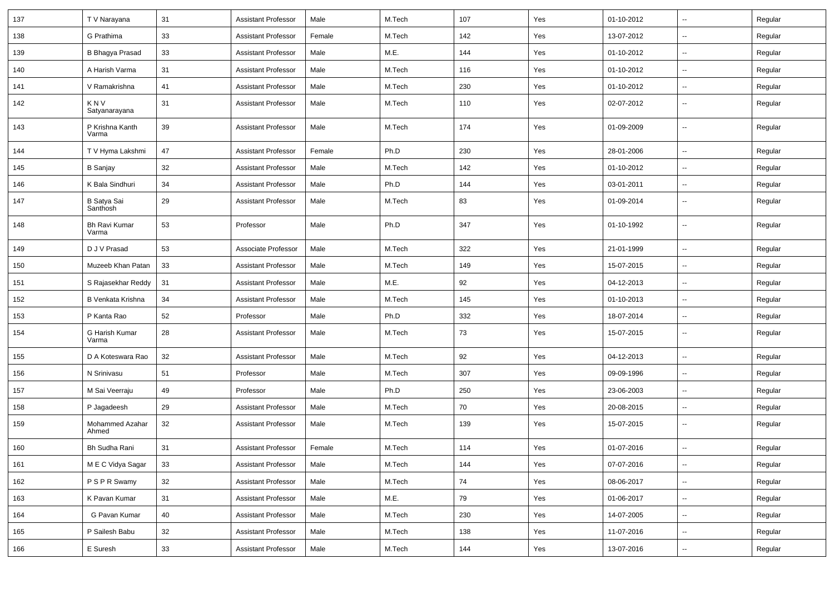| 137 | T V Narayana             | 31 | <b>Assistant Professor</b> | Male   | M.Tech | 107   | Yes | 01-10-2012 | $\sim$                   | Regular |
|-----|--------------------------|----|----------------------------|--------|--------|-------|-----|------------|--------------------------|---------|
| 138 | G Prathima               | 33 | <b>Assistant Professor</b> | Female | M.Tech | 142   | Yes | 13-07-2012 | $\overline{\phantom{a}}$ | Regular |
| 139 | <b>B Bhagya Prasad</b>   | 33 | <b>Assistant Professor</b> | Male   | M.E.   | 144   | Yes | 01-10-2012 | --                       | Regular |
| 140 | A Harish Varma           | 31 | <b>Assistant Professor</b> | Male   | M.Tech | 116   | Yes | 01-10-2012 | $\overline{\phantom{a}}$ | Regular |
| 141 | V Ramakrishna            | 41 | <b>Assistant Professor</b> | Male   | M.Tech | 230   | Yes | 01-10-2012 | $\sim$                   | Regular |
| 142 | K N V<br>Satyanarayana   | 31 | <b>Assistant Professor</b> | Male   | M.Tech | 110   | Yes | 02-07-2012 | $\sim$                   | Regular |
| 143 | P Krishna Kanth<br>Varma | 39 | Assistant Professor        | Male   | M.Tech | 174   | Yes | 01-09-2009 | $\sim$                   | Regular |
| 144 | T V Hyma Lakshmi         | 47 | <b>Assistant Professor</b> | Female | Ph.D   | 230   | Yes | 28-01-2006 | $\sim$                   | Regular |
| 145 | B Sanjay                 | 32 | <b>Assistant Professor</b> | Male   | M.Tech | 142   | Yes | 01-10-2012 | $\sim$                   | Regular |
| 146 | K Bala Sindhuri          | 34 | <b>Assistant Professor</b> | Male   | Ph.D   | 144   | Yes | 03-01-2011 | $\overline{\phantom{a}}$ | Regular |
| 147 | B Satya Sai<br>Santhosh  | 29 | <b>Assistant Professor</b> | Male   | M.Tech | 83    | Yes | 01-09-2014 | --                       | Regular |
| 148 | Bh Ravi Kumar<br>Varma   | 53 | Professor                  | Male   | Ph.D   | 347   | Yes | 01-10-1992 | --                       | Regular |
| 149 | D J V Prasad             | 53 | Associate Professor        | Male   | M.Tech | 322   | Yes | 21-01-1999 | $\overline{\phantom{a}}$ | Regular |
| 150 | Muzeeb Khan Patan        | 33 | <b>Assistant Professor</b> | Male   | M.Tech | 149   | Yes | 15-07-2015 | $\overline{\phantom{a}}$ | Regular |
| 151 | S Rajasekhar Reddy       | 31 | <b>Assistant Professor</b> | Male   | M.E.   | 92    | Yes | 04-12-2013 | $\overline{\phantom{a}}$ | Regular |
| 152 | B Venkata Krishna        | 34 | <b>Assistant Professor</b> | Male   | M.Tech | 145   | Yes | 01-10-2013 | $\sim$                   | Regular |
| 153 | P Kanta Rao              | 52 | Professor                  | Male   | Ph.D   | 332   | Yes | 18-07-2014 | $\sim$                   | Regular |
| 154 | G Harish Kumar<br>Varma  | 28 | <b>Assistant Professor</b> | Male   | M.Tech | 73    | Yes | 15-07-2015 | ۰.                       | Regular |
| 155 | D A Koteswara Rao        | 32 | <b>Assistant Professor</b> | Male   | M.Tech | 92    | Yes | 04-12-2013 | --                       | Regular |
| 156 | N Srinivasu              | 51 | Professor                  | Male   | M.Tech | 307   | Yes | 09-09-1996 | ۰.                       | Regular |
| 157 | M Sai Veerraju           | 49 | Professor                  | Male   | Ph.D   | 250   | Yes | 23-06-2003 | $\overline{\phantom{a}}$ | Regular |
| 158 | P Jagadeesh              | 29 | <b>Assistant Professor</b> | Male   | M.Tech | 70    | Yes | 20-08-2015 | $\overline{\phantom{a}}$ | Regular |
| 159 | Mohammed Azahar<br>Ahmed | 32 | <b>Assistant Professor</b> | Male   | M.Tech | 139   | Yes | 15-07-2015 | $\overline{a}$           | Regular |
| 160 | <b>Bh Sudha Rani</b>     | 31 | <b>Assistant Professor</b> | Female | M.Tech | 114   | Yes | 01-07-2016 | $\overline{\phantom{a}}$ | Regular |
| 161 | M E C Vidya Sagar        | 33 | <b>Assistant Professor</b> | Male   | M.Tech | 144   | Yes | 07-07-2016 | $\sim$                   | Regular |
| 162 | P S P R Swamy            | 32 | <b>Assistant Professor</b> | Male   | M.Tech | 74    | Yes | 08-06-2017 | $\sim$                   | Regular |
| 163 | K Pavan Kumar            | 31 | <b>Assistant Professor</b> | Male   | M.E.   | 79    | Yes | 01-06-2017 | ۰.                       | Regular |
| 164 | G Pavan Kumar            | 40 | <b>Assistant Professor</b> | Male   | M.Tech | 230   | Yes | 14-07-2005 | $\overline{\phantom{a}}$ | Regular |
| 165 | P Sailesh Babu           | 32 | <b>Assistant Professor</b> | Male   | M.Tech | 138   | Yes | 11-07-2016 | $\overline{\phantom{a}}$ | Regular |
| 166 | E Suresh                 | 33 | Assistant Professor        | Male   | M.Tech | $144$ | Yes | 13-07-2016 | $\sim$                   | Regular |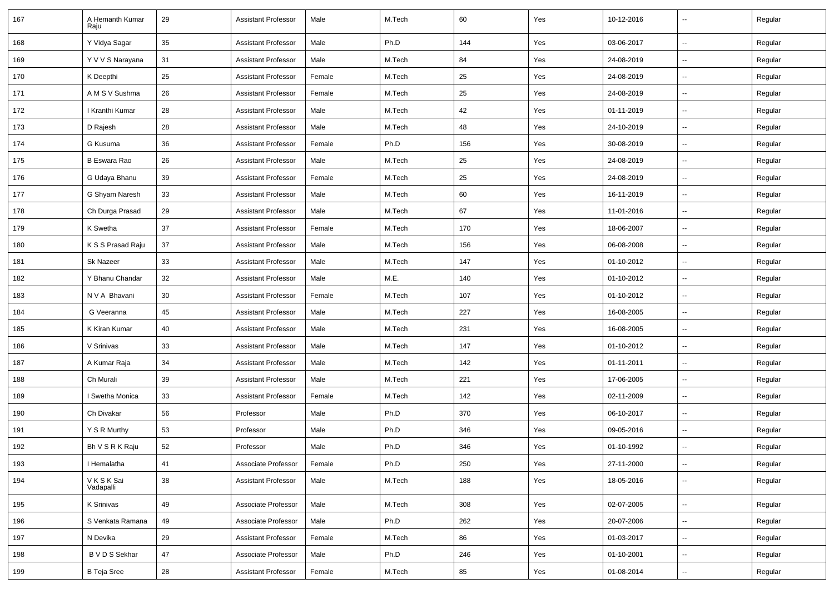| 167 | A Hemanth Kumar<br>Raiu     | 29 | <b>Assistant Professor</b> | Male   | M.Tech | 60  | Yes | 10-12-2016 | $\sim$                   | Regular |
|-----|-----------------------------|----|----------------------------|--------|--------|-----|-----|------------|--------------------------|---------|
| 168 | Y Vidya Sagar               | 35 | <b>Assistant Professor</b> | Male   | Ph.D   | 144 | Yes | 03-06-2017 | $\sim$                   | Regular |
| 169 | Y V V S Narayana            | 31 | <b>Assistant Professor</b> | Male   | M.Tech | 84  | Yes | 24-08-2019 | $\overline{\phantom{a}}$ | Regular |
| 170 | K Deepthi                   | 25 | <b>Assistant Professor</b> | Female | M.Tech | 25  | Yes | 24-08-2019 | $\overline{\phantom{a}}$ | Regular |
| 171 | A M S V Sushma              | 26 | <b>Assistant Professor</b> | Female | M.Tech | 25  | Yes | 24-08-2019 | $\overline{\phantom{a}}$ | Regular |
| 172 | I Kranthi Kumar             | 28 | <b>Assistant Professor</b> | Male   | M.Tech | 42  | Yes | 01-11-2019 | $\overline{\phantom{a}}$ | Regular |
| 173 | D Rajesh                    | 28 | <b>Assistant Professor</b> | Male   | M.Tech | 48  | Yes | 24-10-2019 | ÷.                       | Regular |
| 174 | G Kusuma                    | 36 | <b>Assistant Professor</b> | Female | Ph.D   | 156 | Yes | 30-08-2019 | $\sim$                   | Regular |
| 175 | <b>B Eswara Rao</b>         | 26 | <b>Assistant Professor</b> | Male   | M.Tech | 25  | Yes | 24-08-2019 | $\overline{\phantom{a}}$ | Regular |
| 176 | G Udaya Bhanu               | 39 | <b>Assistant Professor</b> | Female | M.Tech | 25  | Yes | 24-08-2019 | $\sim$                   | Regular |
| 177 | G Shyam Naresh              | 33 | <b>Assistant Professor</b> | Male   | M.Tech | 60  | Yes | 16-11-2019 | $\overline{\phantom{a}}$ | Regular |
| 178 | Ch Durga Prasad             | 29 | <b>Assistant Professor</b> | Male   | M.Tech | 67  | Yes | 11-01-2016 | $\overline{\phantom{a}}$ | Regular |
| 179 | K Swetha                    | 37 | <b>Assistant Professor</b> | Female | M.Tech | 170 | Yes | 18-06-2007 | ÷.                       | Regular |
| 180 | K S S Prasad Raju           | 37 | <b>Assistant Professor</b> | Male   | M.Tech | 156 | Yes | 06-08-2008 | $\sim$                   | Regular |
| 181 | <b>Sk Nazeer</b>            | 33 | <b>Assistant Professor</b> | Male   | M.Tech | 147 | Yes | 01-10-2012 | $\overline{\phantom{a}}$ | Regular |
| 182 | Y Bhanu Chandar             | 32 | <b>Assistant Professor</b> | Male   | M.E.   | 140 | Yes | 01-10-2012 | $\sim$                   | Regular |
| 183 | N V A Bhavani               | 30 | <b>Assistant Professor</b> | Female | M.Tech | 107 | Yes | 01-10-2012 | $\overline{\phantom{a}}$ | Regular |
| 184 | G Veeranna                  | 45 | <b>Assistant Professor</b> | Male   | M.Tech | 227 | Yes | 16-08-2005 | $\overline{\phantom{a}}$ | Regular |
| 185 | K Kiran Kumar               | 40 | <b>Assistant Professor</b> | Male   | M.Tech | 231 | Yes | 16-08-2005 | $\sim$                   | Regular |
| 186 | V Srinivas                  | 33 | <b>Assistant Professor</b> | Male   | M.Tech | 147 | Yes | 01-10-2012 | $\sim$                   | Regular |
| 187 | A Kumar Raja                | 34 | <b>Assistant Professor</b> | Male   | M.Tech | 142 | Yes | 01-11-2011 | $\overline{\phantom{a}}$ | Regular |
| 188 | Ch Murali                   | 39 | <b>Assistant Professor</b> | Male   | M.Tech | 221 | Yes | 17-06-2005 | $\sim$                   | Regular |
| 189 | I Swetha Monica             | 33 | <b>Assistant Professor</b> | Female | M.Tech | 142 | Yes | 02-11-2009 | $\overline{\phantom{a}}$ | Regular |
| 190 | Ch Divakar                  | 56 | Professor                  | Male   | Ph.D   | 370 | Yes | 06-10-2017 | $\overline{\phantom{a}}$ | Regular |
| 191 | Y S R Murthy                | 53 | Professor                  | Male   | Ph.D   | 346 | Yes | 09-05-2016 | $\sim$                   | Regular |
| 192 | Bh V S R K Raju             | 52 | Professor                  | Male   | Ph.D   | 346 | Yes | 01-10-1992 | Ξ.                       | Regular |
| 193 | I Hemalatha                 | 41 | Associate Professor        | Female | Ph.D   | 250 | Yes | 27-11-2000 | $\sim$                   | Regular |
| 194 | <b>VKSKSai</b><br>Vadapalli | 38 | <b>Assistant Professor</b> | Male   | M.Tech | 188 | Yes | 18-05-2016 | $\sim$                   | Regular |
| 195 | K Srinivas                  | 49 | Associate Professor        | Male   | M.Tech | 308 | Yes | 02-07-2005 | $\sim$                   | Regular |
| 196 | S Venkata Ramana            | 49 | Associate Professor        | Male   | Ph.D   | 262 | Yes | 20-07-2006 | $\sim$                   | Regular |
| 197 | N Devika                    | 29 | <b>Assistant Professor</b> | Female | M.Tech | 86  | Yes | 01-03-2017 | $\sim$                   | Regular |
| 198 | B V D S Sekhar              | 47 | Associate Professor        | Male   | Ph.D   | 246 | Yes | 01-10-2001 | $\sim$                   | Regular |
| 199 | <b>B</b> Teja Sree          | 28 | <b>Assistant Professor</b> | Female | M.Tech | 85  | Yes | 01-08-2014 | $\sim$                   | Regular |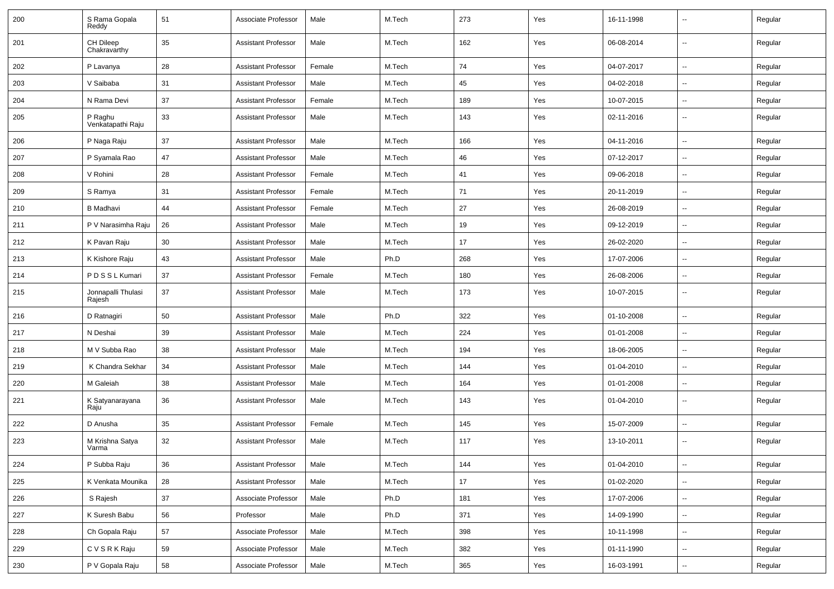| 200 | S Rama Gopala<br>Reddy       | 51 | Associate Professor        | Male   | M.Tech | 273 | Yes | 16-11-1998 | --                       | Regular |
|-----|------------------------------|----|----------------------------|--------|--------|-----|-----|------------|--------------------------|---------|
| 201 | CH Dileep<br>Chakravarthy    | 35 | <b>Assistant Professor</b> | Male   | M.Tech | 162 | Yes | 06-08-2014 | $\sim$                   | Regular |
| 202 | P Lavanya                    | 28 | <b>Assistant Professor</b> | Female | M.Tech | 74  | Yes | 04-07-2017 | $\sim$                   | Regular |
| 203 | V Saibaba                    | 31 | <b>Assistant Professor</b> | Male   | M.Tech | 45  | Yes | 04-02-2018 | --                       | Regular |
| 204 | N Rama Devi                  | 37 | <b>Assistant Professor</b> | Female | M.Tech | 189 | Yes | 10-07-2015 | $\overline{\phantom{a}}$ | Regular |
| 205 | P Raghu<br>Venkatapathi Raju | 33 | <b>Assistant Professor</b> | Male   | M.Tech | 143 | Yes | 02-11-2016 | $\overline{\phantom{a}}$ | Regular |
| 206 | P Naga Raju                  | 37 | <b>Assistant Professor</b> | Male   | M.Tech | 166 | Yes | 04-11-2016 | $\overline{\phantom{a}}$ | Regular |
| 207 | P Syamala Rao                | 47 | <b>Assistant Professor</b> | Male   | M.Tech | 46  | Yes | 07-12-2017 | $\overline{a}$           | Regular |
| 208 | V Rohini                     | 28 | <b>Assistant Professor</b> | Female | M.Tech | 41  | Yes | 09-06-2018 | $\sim$                   | Regular |
| 209 | S Ramya                      | 31 | <b>Assistant Professor</b> | Female | M.Tech | 71  | Yes | 20-11-2019 | $\sim$                   | Regular |
| 210 | <b>B</b> Madhavi             | 44 | <b>Assistant Professor</b> | Female | M.Tech | 27  | Yes | 26-08-2019 |                          | Regular |
| 211 | P V Narasimha Raju           | 26 | <b>Assistant Professor</b> | Male   | M.Tech | 19  | Yes | 09-12-2019 | $\overline{\phantom{a}}$ | Regular |
| 212 | K Pavan Raju                 | 30 | <b>Assistant Professor</b> | Male   | M.Tech | 17  | Yes | 26-02-2020 | $\overline{\phantom{a}}$ | Regular |
| 213 | K Kishore Raju               | 43 | <b>Assistant Professor</b> | Male   | Ph.D   | 268 | Yes | 17-07-2006 | --                       | Regular |
| 214 | PDSSLKumari                  | 37 | <b>Assistant Professor</b> | Female | M.Tech | 180 | Yes | 26-08-2006 | $\overline{\phantom{a}}$ | Regular |
| 215 | Jonnapalli Thulasi<br>Rajesh | 37 | <b>Assistant Professor</b> | Male   | M.Tech | 173 | Yes | 10-07-2015 | ⊷.                       | Regular |
| 216 | D Ratnagiri                  | 50 | <b>Assistant Professor</b> | Male   | Ph.D   | 322 | Yes | 01-10-2008 | $\sim$                   | Regular |
| 217 | N Deshai                     | 39 | <b>Assistant Professor</b> | Male   | M.Tech | 224 | Yes | 01-01-2008 | --                       | Regular |
| 218 | M V Subba Rao                | 38 | <b>Assistant Professor</b> | Male   | M.Tech | 194 | Yes | 18-06-2005 |                          | Regular |
| 219 | K Chandra Sekhar             | 34 | <b>Assistant Professor</b> | Male   | M.Tech | 144 | Yes | 01-04-2010 | --                       | Regular |
| 220 | M Galeiah                    | 38 | <b>Assistant Professor</b> | Male   | M.Tech | 164 | Yes | 01-01-2008 | $\overline{\phantom{a}}$ | Regular |
| 221 | K Satyanarayana<br>Raju      | 36 | <b>Assistant Professor</b> | Male   | M.Tech | 143 | Yes | 01-04-2010 | $\overline{\phantom{a}}$ | Regular |
| 222 | D Anusha                     | 35 | <b>Assistant Professor</b> | Female | M.Tech | 145 | Yes | 15-07-2009 | ۵.                       | Regular |
| 223 | M Krishna Satya<br>Varma     | 32 | <b>Assistant Professor</b> | Male   | M.Tech | 117 | Yes | 13-10-2011 | $\overline{\phantom{a}}$ | Regular |
| 224 | P Subba Raju                 | 36 | <b>Assistant Professor</b> | Male   | M.Tech | 144 | Yes | 01-04-2010 | $\sim$                   | Regular |
| 225 | K Venkata Mounika            | 28 | <b>Assistant Professor</b> | Male   | M.Tech | 17  | Yes | 01-02-2020 | $\overline{\phantom{a}}$ | Regular |
| 226 | S Rajesh                     | 37 | Associate Professor        | Male   | Ph.D   | 181 | Yes | 17-07-2006 | $\overline{\phantom{a}}$ | Regular |
| 227 | K Suresh Babu                | 56 | Professor                  | Male   | Ph.D   | 371 | Yes | 14-09-1990 | $\sim$                   | Regular |
| 228 | Ch Gopala Raju               | 57 | Associate Professor        | Male   | M.Tech | 398 | Yes | 10-11-1998 | $\overline{\phantom{a}}$ | Regular |
| 229 | CVSRKRaju                    | 59 | Associate Professor        | Male   | M.Tech | 382 | Yes | 01-11-1990 | ÷.                       | Regular |
| 230 | P V Gopala Raju              | 58 | Associate Professor        | Male   | M.Tech | 365 | Yes | 16-03-1991 | $\sim$                   | Regular |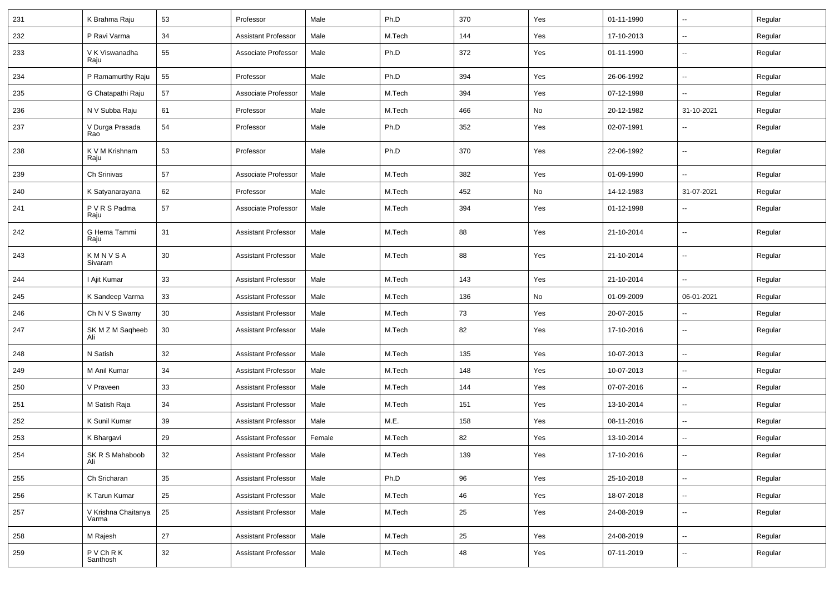| 231 | K Brahma Raju                | 53     | Professor                  | Male   | Ph.D   | 370 | Yes | 01-11-1990 | $\overline{\phantom{a}}$ | Regular |
|-----|------------------------------|--------|----------------------------|--------|--------|-----|-----|------------|--------------------------|---------|
| 232 | P Ravi Varma                 | 34     | <b>Assistant Professor</b> | Male   | M.Tech | 144 | Yes | 17-10-2013 | -−                       | Regular |
| 233 | V K Viswanadha<br>Raju       | 55     | Associate Professor        | Male   | Ph.D   | 372 | Yes | 01-11-1990 | $\overline{\phantom{a}}$ | Regular |
| 234 | P Ramamurthy Raju            | 55     | Professor                  | Male   | Ph.D   | 394 | Yes | 26-06-1992 | -−                       | Regular |
| 235 | G Chatapathi Raju            | 57     | Associate Professor        | Male   | M.Tech | 394 | Yes | 07-12-1998 | $\overline{a}$           | Regular |
| 236 | N V Subba Raju               | 61     | Professor                  | Male   | M.Tech | 466 | No  | 20-12-1982 | 31-10-2021               | Regular |
| 237 | V Durga Prasada<br>Rao       | 54     | Professor                  | Male   | Ph.D   | 352 | Yes | 02-07-1991 | $\overline{\phantom{a}}$ | Regular |
| 238 | K V M Krishnam<br>Raju       | 53     | Professor                  | Male   | Ph.D   | 370 | Yes | 22-06-1992 | $\sim$                   | Regular |
| 239 | Ch Srinivas                  | 57     | Associate Professor        | Male   | M.Tech | 382 | Yes | 01-09-1990 | $\sim$                   | Regular |
| 240 | K Satyanarayana              | 62     | Professor                  | Male   | M.Tech | 452 | No  | 14-12-1983 | 31-07-2021               | Regular |
| 241 | P V R S Padma<br>Raju        | 57     | Associate Professor        | Male   | M.Tech | 394 | Yes | 01-12-1998 | --                       | Regular |
| 242 | G Hema Tammi<br>Raju         | 31     | <b>Assistant Professor</b> | Male   | M.Tech | 88  | Yes | 21-10-2014 | ⊷.                       | Regular |
| 243 | KMNVSA<br>Sivaram            | 30     | <b>Assistant Professor</b> | Male   | M.Tech | 88  | Yes | 21-10-2014 | $\sim$                   | Regular |
| 244 | I Ajit Kumar                 | 33     | <b>Assistant Professor</b> | Male   | M.Tech | 143 | Yes | 21-10-2014 | Ξ.                       | Regular |
| 245 | K Sandeep Varma              | 33     | <b>Assistant Professor</b> | Male   | M.Tech | 136 | No  | 01-09-2009 | 06-01-2021               | Regular |
| 246 | Ch N V S Swamy               | 30     | <b>Assistant Professor</b> | Male   | M.Tech | 73  | Yes | 20-07-2015 | --                       | Regular |
| 247 | SK M Z M Saqheeb<br>Ali      | 30     | <b>Assistant Professor</b> | Male   | M.Tech | 82  | Yes | 17-10-2016 | -−                       | Regular |
| 248 | N Satish                     | 32     | <b>Assistant Professor</b> | Male   | M.Tech | 135 | Yes | 10-07-2013 | -−                       | Regular |
| 249 | M Anil Kumar                 | 34     | <b>Assistant Professor</b> | Male   | M.Tech | 148 | Yes | 10-07-2013 | Ξ.                       | Regular |
| 250 | V Praveen                    | 33     | <b>Assistant Professor</b> | Male   | M.Tech | 144 | Yes | 07-07-2016 | $\sim$                   | Regular |
| 251 | M Satish Raja                | 34     | <b>Assistant Professor</b> | Male   | M.Tech | 151 | Yes | 13-10-2014 | Ξ.                       | Regular |
| 252 | K Sunil Kumar                | 39     | <b>Assistant Professor</b> | Male   | M.E.   | 158 | Yes | 08-11-2016 | -−                       | Regular |
| 253 | K Bhargavi                   | 29     | <b>Assistant Professor</b> | Female | M.Tech | 82  | Yes | 13-10-2014 | --                       | Regular |
| 254 | SK R S Mahaboob<br>Ali       | 32     | Assistant Professor        | Male   | M.Tech | 139 | Yes | 17-10-2016 |                          | Regular |
| 255 | Ch Sricharan                 | 35     | <b>Assistant Professor</b> | Male   | Ph.D   | 96  | Yes | 25-10-2018 | $\sim$                   | Regular |
| 256 | K Tarun Kumar                | 25     | Assistant Professor        | Male   | M.Tech | 46  | Yes | 18-07-2018 | $\overline{\phantom{a}}$ | Regular |
| 257 | V Krishna Chaitanya<br>Varma | 25     | <b>Assistant Professor</b> | Male   | M.Tech | 25  | Yes | 24-08-2019 | ₩,                       | Regular |
| 258 | M Rajesh                     | 27     | <b>Assistant Professor</b> | Male   | M.Tech | 25  | Yes | 24-08-2019 | н.                       | Regular |
| 259 | P V Ch R K<br>Santhosh       | $32\,$ | <b>Assistant Professor</b> | Male   | M.Tech | 48  | Yes | 07-11-2019 | --                       | Regular |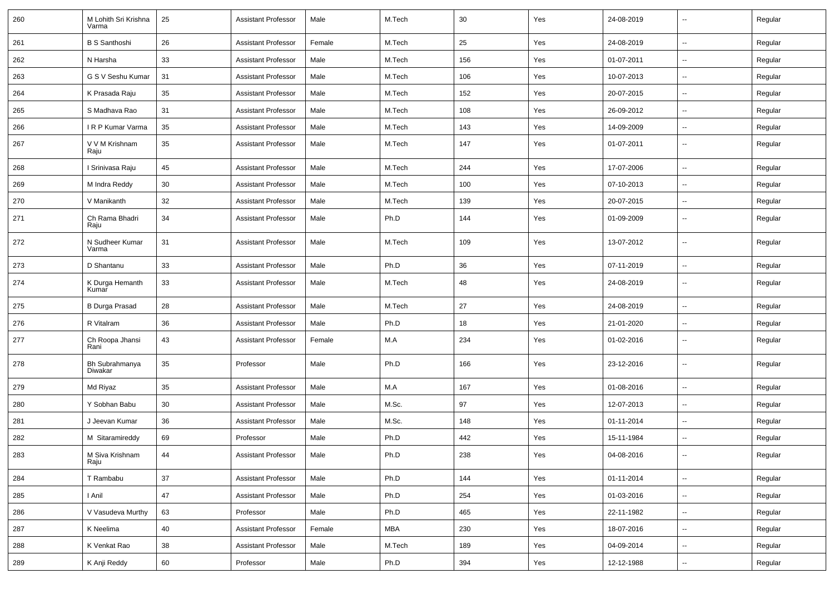| 260 | M Lohith Sri Krishna<br>Varma | 25 | <b>Assistant Professor</b> | Male   | M.Tech | 30  | Yes | 24-08-2019 | -−                       | Regular |
|-----|-------------------------------|----|----------------------------|--------|--------|-----|-----|------------|--------------------------|---------|
| 261 | <b>B S Santhoshi</b>          | 26 | <b>Assistant Professor</b> | Female | M.Tech | 25  | Yes | 24-08-2019 | $\sim$                   | Regular |
| 262 | N Harsha                      | 33 | <b>Assistant Professor</b> | Male   | M.Tech | 156 | Yes | 01-07-2011 | $\overline{\phantom{a}}$ | Regular |
| 263 | G S V Seshu Kumar             | 31 | <b>Assistant Professor</b> | Male   | M.Tech | 106 | Yes | 10-07-2013 | $\overline{\phantom{a}}$ | Regular |
| 264 | K Prasada Raju                | 35 | <b>Assistant Professor</b> | Male   | M.Tech | 152 | Yes | 20-07-2015 | -−                       | Regular |
| 265 | S Madhava Rao                 | 31 | <b>Assistant Professor</b> | Male   | M.Tech | 108 | Yes | 26-09-2012 | $\mathbf{u}$             | Regular |
| 266 | IRP Kumar Varma               | 35 | <b>Assistant Professor</b> | Male   | M.Tech | 143 | Yes | 14-09-2009 | ⊷.                       | Regular |
| 267 | V V M Krishnam<br>Raju        | 35 | <b>Assistant Professor</b> | Male   | M.Tech | 147 | Yes | 01-07-2011 | ⊷.                       | Regular |
| 268 | I Srinivasa Raju              | 45 | <b>Assistant Professor</b> | Male   | M.Tech | 244 | Yes | 17-07-2006 | ш.                       | Regular |
| 269 | M Indra Reddy                 | 30 | <b>Assistant Professor</b> | Male   | M.Tech | 100 | Yes | 07-10-2013 | $\overline{\phantom{a}}$ | Regular |
| 270 | V Manikanth                   | 32 | <b>Assistant Professor</b> | Male   | M.Tech | 139 | Yes | 20-07-2015 | $\overline{\phantom{a}}$ | Regular |
| 271 | Ch Rama Bhadri<br>Raju        | 34 | <b>Assistant Professor</b> | Male   | Ph.D   | 144 | Yes | 01-09-2009 | -−                       | Regular |
| 272 | N Sudheer Kumar<br>Varma      | 31 | <b>Assistant Professor</b> | Male   | M.Tech | 109 | Yes | 13-07-2012 | --                       | Regular |
| 273 | D Shantanu                    | 33 | <b>Assistant Professor</b> | Male   | Ph.D   | 36  | Yes | 07-11-2019 | ш,                       | Regular |
| 274 | K Durga Hemanth<br>Kumar      | 33 | <b>Assistant Professor</b> | Male   | M.Tech | 48  | Yes | 24-08-2019 | $\mathbf{u}$             | Regular |
| 275 | <b>B Durga Prasad</b>         | 28 | <b>Assistant Professor</b> | Male   | M.Tech | 27  | Yes | 24-08-2019 | $\sim$                   | Regular |
| 276 | R Vitalram                    | 36 | <b>Assistant Professor</b> | Male   | Ph.D   | 18  | Yes | 21-01-2020 | $\sim$                   | Regular |
| 277 | Ch Roopa Jhansi<br>Rani       | 43 | <b>Assistant Professor</b> | Female | M.A    | 234 | Yes | 01-02-2016 | ⊷.                       | Regular |
| 278 | Bh Subrahmanya<br>Diwakar     | 35 | Professor                  | Male   | Ph.D   | 166 | Yes | 23-12-2016 | ⊷.                       | Regular |
| 279 | Md Riyaz                      | 35 | <b>Assistant Professor</b> | Male   | M.A    | 167 | Yes | 01-08-2016 | -−                       | Regular |
| 280 | Y Sobhan Babu                 | 30 | <b>Assistant Professor</b> | Male   | M.Sc.  | 97  | Yes | 12-07-2013 | Ξ.                       | Regular |
| 281 | J Jeevan Kumar                | 36 | <b>Assistant Professor</b> | Male   | M.Sc.  | 148 | Yes | 01-11-2014 | --                       | Regular |
| 282 | M Sitaramireddy               | 69 | Professor                  | Male   | Ph.D   | 442 | Yes | 15-11-1984 | -−                       | Regular |
| 283 | M Siva Krishnam<br>Raju       | 44 | Assistant Professor        | Male   | Ph.D   | 238 | Yes | 04-08-2016 |                          | Regular |
| 284 | T Rambabu                     | 37 | <b>Assistant Professor</b> | Male   | Ph.D   | 144 | Yes | 01-11-2014 | $\omega_{\rm{m}}$        | Regular |
| 285 | I Anil                        | 47 | Assistant Professor        | Male   | Ph.D   | 254 | Yes | 01-03-2016 | $\overline{\phantom{a}}$ | Regular |
| 286 | V Vasudeva Murthy             | 63 | Professor                  | Male   | Ph.D   | 465 | Yes | 22-11-1982 | $\sim$                   | Regular |
| 287 | K Neelima                     | 40 | <b>Assistant Professor</b> | Female | MBA    | 230 | Yes | 18-07-2016 | н.                       | Regular |
| 288 | K Venkat Rao                  | 38 | <b>Assistant Professor</b> | Male   | M.Tech | 189 | Yes | 04-09-2014 | $\sim$                   | Regular |
| 289 | K Anji Reddy                  | 60 | Professor                  | Male   | Ph.D   | 394 | Yes | 12-12-1988 | ₩,                       | Regular |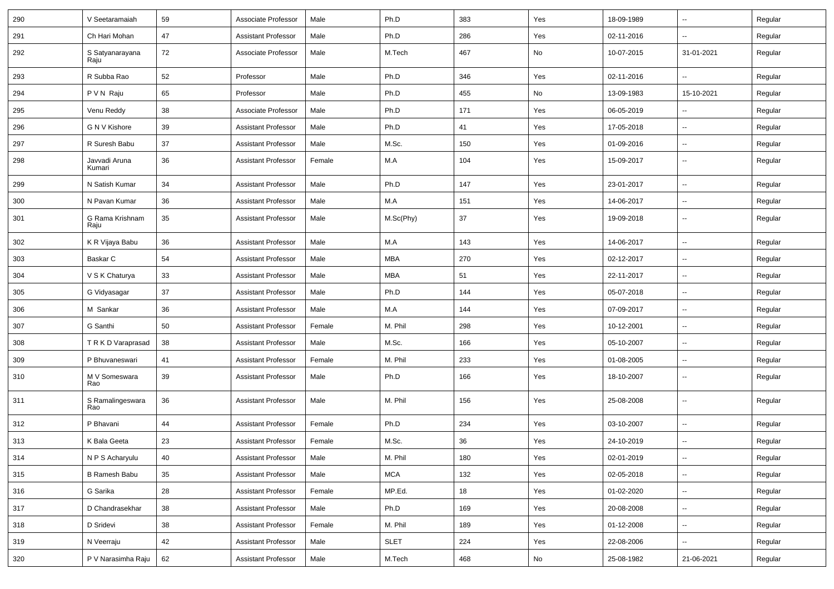| 290 | V Seetaramaiah          | 59 | Associate Professor        | Male   | Ph.D        | 383 | Yes | 18-09-1989 | $\overline{\phantom{a}}$ | Regular |
|-----|-------------------------|----|----------------------------|--------|-------------|-----|-----|------------|--------------------------|---------|
| 291 | Ch Hari Mohan           | 47 | <b>Assistant Professor</b> | Male   | Ph.D        | 286 | Yes | 02-11-2016 | ш.                       | Regular |
| 292 | S Satyanarayana<br>Raju | 72 | Associate Professor        | Male   | M.Tech      | 467 | No  | 10-07-2015 | 31-01-2021               | Regular |
| 293 | R Subba Rao             | 52 | Professor                  | Male   | Ph.D        | 346 | Yes | 02-11-2016 | Ξ.                       | Regular |
| 294 | P V N Raju              | 65 | Professor                  | Male   | Ph.D        | 455 | No  | 13-09-1983 | 15-10-2021               | Regular |
| 295 | Venu Reddy              | 38 | Associate Professor        | Male   | Ph.D        | 171 | Yes | 06-05-2019 | -−                       | Regular |
| 296 | G N V Kishore           | 39 | <b>Assistant Professor</b> | Male   | Ph.D        | 41  | Yes | 17-05-2018 | $\overline{\phantom{a}}$ | Regular |
| 297 | R Suresh Babu           | 37 | <b>Assistant Professor</b> | Male   | M.Sc.       | 150 | Yes | 01-09-2016 | ⊷.                       | Regular |
| 298 | Javvadi Aruna<br>Kumari | 36 | <b>Assistant Professor</b> | Female | M.A         | 104 | Yes | 15-09-2017 | н.                       | Regular |
| 299 | N Satish Kumar          | 34 | <b>Assistant Professor</b> | Male   | Ph.D        | 147 | Yes | 23-01-2017 | Ξ.                       | Regular |
| 300 | N Pavan Kumar           | 36 | <b>Assistant Professor</b> | Male   | M.A         | 151 | Yes | 14-06-2017 | $\overline{\phantom{a}}$ | Regular |
| 301 | G Rama Krishnam<br>Raju | 35 | <b>Assistant Professor</b> | Male   | M.Sc(Phy)   | 37  | Yes | 19-09-2018 | -−                       | Regular |
| 302 | K R Vijaya Babu         | 36 | <b>Assistant Professor</b> | Male   | M.A         | 143 | Yes | 14-06-2017 | ш.                       | Regular |
| 303 | Baskar C                | 54 | <b>Assistant Professor</b> | Male   | <b>MBA</b>  | 270 | Yes | 02-12-2017 | $\overline{\phantom{a}}$ | Regular |
| 304 | V S K Chaturya          | 33 | <b>Assistant Professor</b> | Male   | <b>MBA</b>  | 51  | Yes | 22-11-2017 | $\sim$                   | Regular |
| 305 | G Vidyasagar            | 37 | <b>Assistant Professor</b> | Male   | Ph.D        | 144 | Yes | 05-07-2018 | ⊷.                       | Regular |
| 306 | M Sankar                | 36 | <b>Assistant Professor</b> | Male   | M.A         | 144 | Yes | 07-09-2017 | Ξ.                       | Regular |
| 307 | G Santhi                | 50 | <b>Assistant Professor</b> | Female | M. Phil     | 298 | Yes | 10-12-2001 | $\overline{\phantom{a}}$ | Regular |
| 308 | T R K D Varaprasad      | 38 | <b>Assistant Professor</b> | Male   | M.Sc.       | 166 | Yes | 05-10-2007 | -−                       | Regular |
| 309 | P Bhuvaneswari          | 41 | <b>Assistant Professor</b> | Female | M. Phil     | 233 | Yes | 01-08-2005 | Ξ.                       | Regular |
| 310 | M V Someswara<br>Rao    | 39 | <b>Assistant Professor</b> | Male   | Ph.D        | 166 | Yes | 18-10-2007 | ⊷.                       | Regular |
| 311 | S Ramalingeswara<br>Rao | 36 | <b>Assistant Professor</b> | Male   | M. Phil     | 156 | Yes | 25-08-2008 | $\overline{\phantom{a}}$ | Regular |
| 312 | P Bhavani               | 44 | <b>Assistant Professor</b> | Female | Ph.D        | 234 | Yes | 03-10-2007 | $\overline{\phantom{a}}$ | Regular |
| 313 | K Bala Geeta            | 23 | <b>Assistant Professor</b> | Female | M.Sc.       | 36  | Yes | 24-10-2019 | $\sim$                   | Regular |
| 314 | N P S Acharyulu         | 40 | Assistant Professor        | Male   | M. Phil     | 180 | Yes | 02-01-2019 | $\overline{\phantom{a}}$ | Regular |
| 315 | B Ramesh Babu           | 35 | <b>Assistant Professor</b> | Male   | <b>MCA</b>  | 132 | Yes | 02-05-2018 | Ξ.                       | Regular |
| 316 | G Sarika                | 28 | <b>Assistant Professor</b> | Female | MP.Ed.      | 18  | Yes | 01-02-2020 | $\sim$                   | Regular |
| 317 | D Chandrasekhar         | 38 | <b>Assistant Professor</b> | Male   | Ph.D        | 169 | Yes | 20-08-2008 | $\sim$                   | Regular |
| 318 | D Sridevi               | 38 | <b>Assistant Professor</b> | Female | M. Phil     | 189 | Yes | 01-12-2008 | $\sim$                   | Regular |
| 319 | N Veerraju              | 42 | <b>Assistant Professor</b> | Male   | <b>SLET</b> | 224 | Yes | 22-08-2006 | $\sim$                   | Regular |
| 320 | P V Narasimha Raju      | 62 | <b>Assistant Professor</b> | Male   | M.Tech      | 468 | No  | 25-08-1982 | 21-06-2021               | Regular |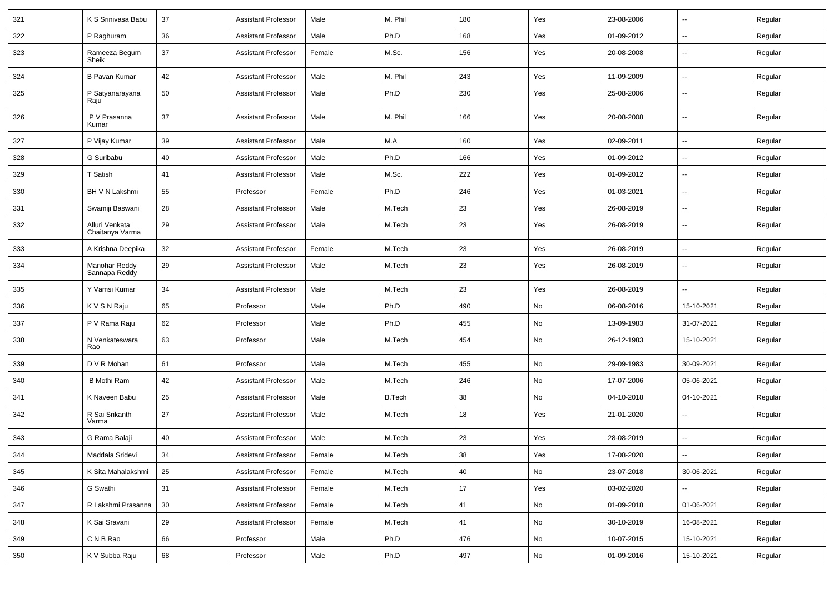| 321 | K S Srinivasa Babu                | 37 | <b>Assistant Professor</b> | Male   | M. Phil       | 180 | Yes | 23-08-2006 | --                       | Regular |
|-----|-----------------------------------|----|----------------------------|--------|---------------|-----|-----|------------|--------------------------|---------|
| 322 | P Raghuram                        | 36 | <b>Assistant Professor</b> | Male   | Ph.D          | 168 | Yes | 01-09-2012 | --                       | Regular |
| 323 | Rameeza Begum<br>Sheik            | 37 | <b>Assistant Professor</b> | Female | M.Sc.         | 156 | Yes | 20-08-2008 | --                       | Regular |
| 324 | <b>B Pavan Kumar</b>              | 42 | <b>Assistant Professor</b> | Male   | M. Phil       | 243 | Yes | 11-09-2009 | Ξ.                       | Regular |
| 325 | P Satyanarayana<br>Raju           | 50 | <b>Assistant Professor</b> | Male   | Ph.D          | 230 | Yes | 25-08-2006 | -−                       | Regular |
| 326 | P V Prasanna<br>Kumar             | 37 | <b>Assistant Professor</b> | Male   | M. Phil       | 166 | Yes | 20-08-2008 | --                       | Regular |
| 327 | P Vijay Kumar                     | 39 | <b>Assistant Professor</b> | Male   | M.A           | 160 | Yes | 02-09-2011 | $\overline{\phantom{a}}$ | Regular |
| 328 | G Suribabu                        | 40 | <b>Assistant Professor</b> | Male   | Ph.D          | 166 | Yes | 01-09-2012 | $\overline{\phantom{a}}$ | Regular |
| 329 | T Satish                          | 41 | <b>Assistant Professor</b> | Male   | M.Sc.         | 222 | Yes | 01-09-2012 | ⊷.                       | Regular |
| 330 | BH V N Lakshmi                    | 55 | Professor                  | Female | Ph.D          | 246 | Yes | 01-03-2021 | -−                       | Regular |
| 331 | Swamiji Baswani                   | 28 | <b>Assistant Professor</b> | Male   | M.Tech        | 23  | Yes | 26-08-2019 | --                       | Regular |
| 332 | Alluri Venkata<br>Chaitanya Varma | 29 | <b>Assistant Professor</b> | Male   | M.Tech        | 23  | Yes | 26-08-2019 | $\overline{a}$           | Regular |
| 333 | A Krishna Deepika                 | 32 | <b>Assistant Professor</b> | Female | M.Tech        | 23  | Yes | 26-08-2019 | $\overline{\phantom{a}}$ | Regular |
| 334 | Manohar Reddy<br>Sannapa Reddy    | 29 | <b>Assistant Professor</b> | Male   | M.Tech        | 23  | Yes | 26-08-2019 | --                       | Regular |
| 335 | Y Vamsi Kumar                     | 34 | <b>Assistant Professor</b> | Male   | M.Tech        | 23  | Yes | 26-08-2019 | Ξ.                       | Regular |
| 336 | K V S N Raju                      | 65 | Professor                  | Male   | Ph.D          | 490 | No  | 06-08-2016 | 15-10-2021               | Regular |
| 337 | P V Rama Raju                     | 62 | Professor                  | Male   | Ph.D          | 455 | No  | 13-09-1983 | 31-07-2021               | Regular |
| 338 | N Venkateswara<br>Rao             | 63 | Professor                  | Male   | M.Tech        | 454 | No  | 26-12-1983 | 15-10-2021               | Regular |
| 339 | D V R Mohan                       | 61 | Professor                  | Male   | M.Tech        | 455 | No  | 29-09-1983 | 30-09-2021               | Regular |
| 340 | <b>B Mothi Ram</b>                | 42 | <b>Assistant Professor</b> | Male   | M.Tech        | 246 | No  | 17-07-2006 | 05-06-2021               | Regular |
| 341 | K Naveen Babu                     | 25 | <b>Assistant Professor</b> | Male   | <b>B.Tech</b> | 38  | No  | 04-10-2018 | 04-10-2021               | Regular |
| 342 | R Sai Srikanth<br>Varma           | 27 | <b>Assistant Professor</b> | Male   | M.Tech        | 18  | Yes | 21-01-2020 | $\overline{a}$           | Regular |
| 343 | G Rama Balaji                     | 40 | <b>Assistant Professor</b> | Male   | M.Tech        | 23  | Yes | 28-08-2019 | --                       | Regular |
| 344 | Maddala Sridevi                   | 34 | Assistant Professor        | Female | M.Tech        | 38  | Yes | 17-08-2020 |                          | Regular |
| 345 | K Sita Mahalakshmi                | 25 | <b>Assistant Professor</b> | Female | M.Tech        | 40  | No  | 23-07-2018 | 30-06-2021               | Regular |
| 346 | G Swathi                          | 31 | <b>Assistant Professor</b> | Female | M.Tech        | 17  | Yes | 03-02-2020 | $\sim$                   | Regular |
| 347 | R Lakshmi Prasanna                | 30 | <b>Assistant Professor</b> | Female | M.Tech        | 41  | No  | 01-09-2018 | 01-06-2021               | Regular |
| 348 | K Sai Sravani                     | 29 | <b>Assistant Professor</b> | Female | M.Tech        | 41  | No  | 30-10-2019 | 16-08-2021               | Regular |
| 349 | C N B Rao                         | 66 | Professor                  | Male   | Ph.D          | 476 | No  | 10-07-2015 | 15-10-2021               | Regular |
| 350 | K V Subba Raju                    | 68 | Professor                  | Male   | Ph.D          | 497 | No  | 01-09-2016 | 15-10-2021               | Regular |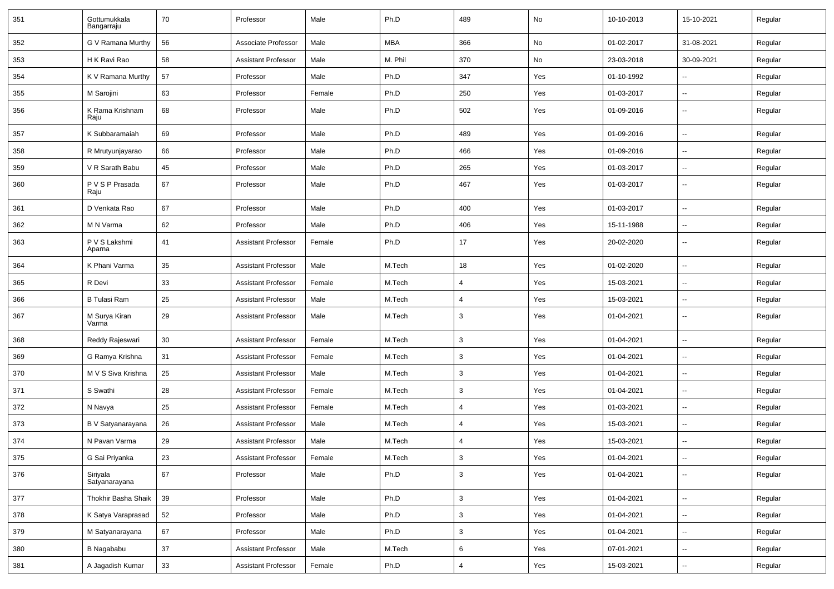| 351 | Gottumukkala<br>Bangarraju | 70 | Professor                  | Male   | Ph.D       | 489            | No  | 10-10-2013 | 15-10-2021               | Regular |
|-----|----------------------------|----|----------------------------|--------|------------|----------------|-----|------------|--------------------------|---------|
| 352 | G V Ramana Murthy          | 56 | Associate Professor        | Male   | <b>MBA</b> | 366            | No  | 01-02-2017 | 31-08-2021               | Regular |
| 353 | H K Ravi Rao               | 58 | <b>Assistant Professor</b> | Male   | M. Phil    | 370            | No  | 23-03-2018 | 30-09-2021               | Regular |
| 354 | K V Ramana Murthy          | 57 | Professor                  | Male   | Ph.D       | 347            | Yes | 01-10-1992 | --                       | Regular |
| 355 | M Sarojini                 | 63 | Professor                  | Female | Ph.D       | 250            | Yes | 01-03-2017 | $\overline{\phantom{a}}$ | Regular |
| 356 | K Rama Krishnam<br>Raju    | 68 | Professor                  | Male   | Ph.D       | 502            | Yes | 01-09-2016 |                          | Regular |
| 357 | K Subbaramaiah             | 69 | Professor                  | Male   | Ph.D       | 489            | Yes | 01-09-2016 | --                       | Regular |
| 358 | R Mrutyunjayarao           | 66 | Professor                  | Male   | Ph.D       | 466            | Yes | 01-09-2016 | $\overline{\phantom{a}}$ | Regular |
| 359 | V R Sarath Babu            | 45 | Professor                  | Male   | Ph.D       | 265            | Yes | 01-03-2017 | $\overline{\phantom{a}}$ | Regular |
| 360 | P V S P Prasada<br>Raju    | 67 | Professor                  | Male   | Ph.D       | 467            | Yes | 01-03-2017 | --                       | Regular |
| 361 | D Venkata Rao              | 67 | Professor                  | Male   | Ph.D       | 400            | Yes | 01-03-2017 | -−                       | Regular |
| 362 | M N Varma                  | 62 | Professor                  | Male   | Ph.D       | 406            | Yes | 15-11-1988 | --                       | Regular |
| 363 | P V S Lakshmi<br>Aparna    | 41 | <b>Assistant Professor</b> | Female | Ph.D       | 17             | Yes | 20-02-2020 | $\overline{a}$           | Regular |
| 364 | K Phani Varma              | 35 | <b>Assistant Professor</b> | Male   | M.Tech     | 18             | Yes | 01-02-2020 | $\overline{\phantom{a}}$ | Regular |
| 365 | R Devi                     | 33 | <b>Assistant Professor</b> | Female | M.Tech     | $\overline{4}$ | Yes | 15-03-2021 | --                       | Regular |
| 366 | <b>B Tulasi Ram</b>        | 25 | <b>Assistant Professor</b> | Male   | M.Tech     | $\overline{4}$ | Yes | 15-03-2021 | $\overline{\phantom{a}}$ | Regular |
| 367 | M Surya Kiran<br>Varma     | 29 | <b>Assistant Professor</b> | Male   | M.Tech     | 3              | Yes | 01-04-2021 | $\overline{\phantom{a}}$ | Regular |
| 368 | Reddy Rajeswari            | 30 | <b>Assistant Professor</b> | Female | M.Tech     | 3              | Yes | 01-04-2021 | $\overline{\phantom{a}}$ | Regular |
| 369 | G Ramya Krishna            | 31 | <b>Assistant Professor</b> | Female | M.Tech     | 3              | Yes | 01-04-2021 | -−                       | Regular |
| 370 | M V S Siva Krishna         | 25 | <b>Assistant Professor</b> | Male   | M.Tech     | 3              | Yes | 01-04-2021 | $\overline{\phantom{a}}$ | Regular |
| 371 | S Swathi                   | 28 | <b>Assistant Professor</b> | Female | M.Tech     | 3              | Yes | 01-04-2021 | --                       | Regular |
| 372 | N Navya                    | 25 | <b>Assistant Professor</b> | Female | M.Tech     | $\overline{4}$ | Yes | 01-03-2021 | --                       | Regular |
| 373 | B V Satyanarayana          | 26 | <b>Assistant Professor</b> | Male   | M.Tech     | $\overline{4}$ | Yes | 15-03-2021 | $\overline{\phantom{a}}$ | Regular |
| 374 | N Pavan Varma              | 29 | <b>Assistant Professor</b> | Male   | M.Tech     | $\overline{4}$ | Yes | 15-03-2021 | $\overline{\phantom{a}}$ | Regular |
| 375 | G Sai Priyanka             | 23 | <b>Assistant Professor</b> | Female | M.Tech     | 3              | Yes | 01-04-2021 | н.                       | Regular |
| 376 | Siriyala<br>Satyanarayana  | 67 | Professor                  | Male   | Ph.D       | 3              | Yes | 01-04-2021 | $\sim$                   | Regular |
| 377 | Thokhir Basha Shaik        | 39 | Professor                  | Male   | Ph.D       | 3              | Yes | 01-04-2021 | н.                       | Regular |
| 378 | K Satya Varaprasad         | 52 | Professor                  | Male   | Ph.D       | 3              | Yes | 01-04-2021 | Ξ.                       | Regular |
| 379 | M Satyanarayana            | 67 | Professor                  | Male   | Ph.D       | 3              | Yes | 01-04-2021 | $\sim$                   | Regular |
| 380 | B Nagababu                 | 37 | <b>Assistant Professor</b> | Male   | M.Tech     | 6              | Yes | 07-01-2021 | $\overline{\phantom{a}}$ | Regular |
| 381 | A Jagadish Kumar           | 33 | <b>Assistant Professor</b> | Female | Ph.D       | 4              | Yes | 15-03-2021 | $\sim$                   | Regular |